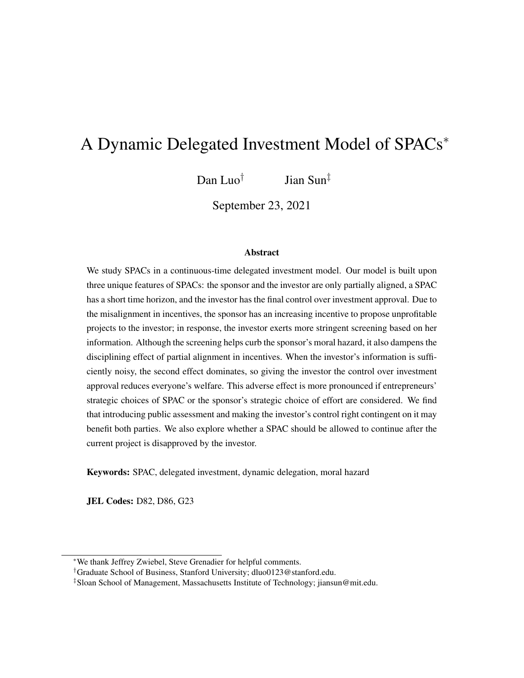# A Dynamic Delegated Investment Model of SPACs<sup>∗</sup>

Dan Luo<sup>†</sup> Jian Sun‡

September 23, 2021

#### Abstract

We study SPACs in a continuous-time delegated investment model. Our model is built upon three unique features of SPACs: the sponsor and the investor are only partially aligned, a SPAC has a short time horizon, and the investor has the final control over investment approval. Due to the misalignment in incentives, the sponsor has an increasing incentive to propose unprofitable projects to the investor; in response, the investor exerts more stringent screening based on her information. Although the screening helps curb the sponsor's moral hazard, it also dampens the disciplining effect of partial alignment in incentives. When the investor's information is sufficiently noisy, the second effect dominates, so giving the investor the control over investment approval reduces everyone's welfare. This adverse effect is more pronounced if entrepreneurs' strategic choices of SPAC or the sponsor's strategic choice of effort are considered. We find that introducing public assessment and making the investor's control right contingent on it may benefit both parties. We also explore whether a SPAC should be allowed to continue after the current project is disapproved by the investor.

Keywords: SPAC, delegated investment, dynamic delegation, moral hazard

JEL Codes: D82, D86, G23

<sup>∗</sup>We thank Jeffrey Zwiebel, Steve Grenadier for helpful comments.

<sup>†</sup>Graduate School of Business, Stanford University; dluo0123@stanford.edu.

<sup>‡</sup>Sloan School of Management, Massachusetts Institute of Technology; jiansun@mit.edu.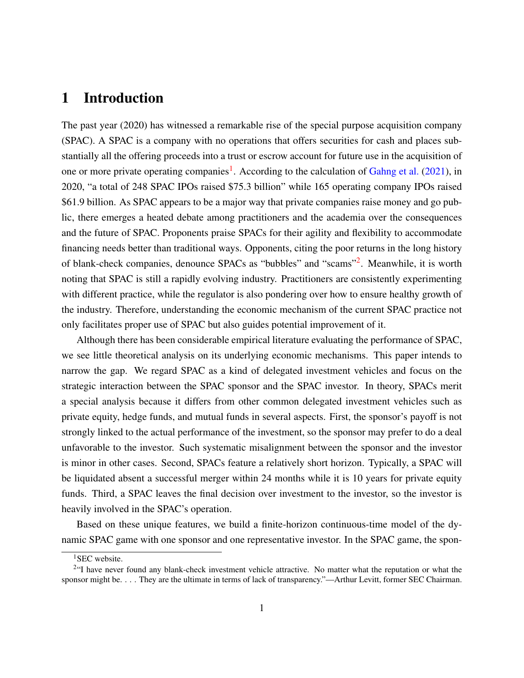## 1 Introduction

The past year (2020) has witnessed a remarkable rise of the special purpose acquisition company (SPAC). A SPAC is a company with no operations that offers securities for cash and places substantially all the offering proceeds into a trust or escrow account for future use in the acquisition of one or more private operating companies<sup>[1](#page-1-0)</sup>. According to the calculation of [Gahng et al.](#page-33-0) [\(2021\)](#page-33-0), in 2020, "a total of 248 SPAC IPOs raised \$75.3 billion" while 165 operating company IPOs raised \$61.9 billion. As SPAC appears to be a major way that private companies raise money and go public, there emerges a heated debate among practitioners and the academia over the consequences and the future of SPAC. Proponents praise SPACs for their agility and flexibility to accommodate financing needs better than traditional ways. Opponents, citing the poor returns in the long history of blank-check companies, denounce SPACs as "bubbles" and "scams"<sup>[2](#page-1-1)</sup>. Meanwhile, it is worth noting that SPAC is still a rapidly evolving industry. Practitioners are consistently experimenting with different practice, while the regulator is also pondering over how to ensure healthy growth of the industry. Therefore, understanding the economic mechanism of the current SPAC practice not only facilitates proper use of SPAC but also guides potential improvement of it.

Although there has been considerable empirical literature evaluating the performance of SPAC, we see little theoretical analysis on its underlying economic mechanisms. This paper intends to narrow the gap. We regard SPAC as a kind of delegated investment vehicles and focus on the strategic interaction between the SPAC sponsor and the SPAC investor. In theory, SPACs merit a special analysis because it differs from other common delegated investment vehicles such as private equity, hedge funds, and mutual funds in several aspects. First, the sponsor's payoff is not strongly linked to the actual performance of the investment, so the sponsor may prefer to do a deal unfavorable to the investor. Such systematic misalignment between the sponsor and the investor is minor in other cases. Second, SPACs feature a relatively short horizon. Typically, a SPAC will be liquidated absent a successful merger within 24 months while it is 10 years for private equity funds. Third, a SPAC leaves the final decision over investment to the investor, so the investor is heavily involved in the SPAC's operation.

Based on these unique features, we build a finite-horizon continuous-time model of the dynamic SPAC game with one sponsor and one representative investor. In the SPAC game, the spon-

<span id="page-1-1"></span><span id="page-1-0"></span><sup>&</sup>lt;sup>1</sup>SEC website.

<sup>&</sup>lt;sup>2</sup>"I have never found any blank-check investment vehicle attractive. No matter what the reputation or what the sponsor might be. . . . They are the ultimate in terms of lack of transparency."—Arthur Levitt, former SEC Chairman.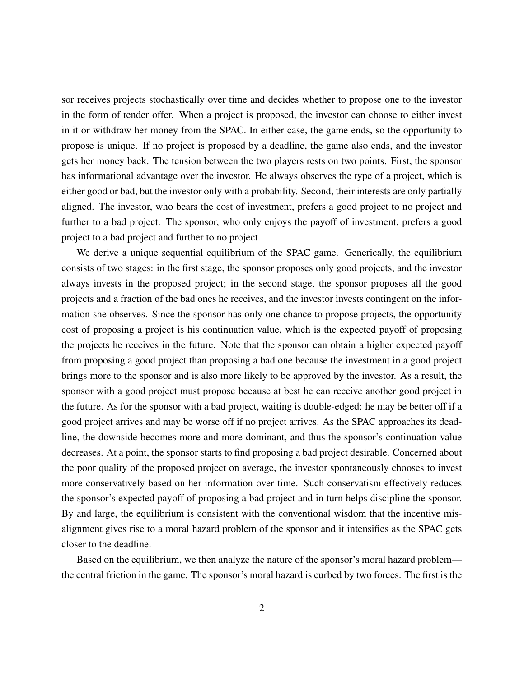sor receives projects stochastically over time and decides whether to propose one to the investor in the form of tender offer. When a project is proposed, the investor can choose to either invest in it or withdraw her money from the SPAC. In either case, the game ends, so the opportunity to propose is unique. If no project is proposed by a deadline, the game also ends, and the investor gets her money back. The tension between the two players rests on two points. First, the sponsor has informational advantage over the investor. He always observes the type of a project, which is either good or bad, but the investor only with a probability. Second, their interests are only partially aligned. The investor, who bears the cost of investment, prefers a good project to no project and further to a bad project. The sponsor, who only enjoys the payoff of investment, prefers a good project to a bad project and further to no project.

We derive a unique sequential equilibrium of the SPAC game. Generically, the equilibrium consists of two stages: in the first stage, the sponsor proposes only good projects, and the investor always invests in the proposed project; in the second stage, the sponsor proposes all the good projects and a fraction of the bad ones he receives, and the investor invests contingent on the information she observes. Since the sponsor has only one chance to propose projects, the opportunity cost of proposing a project is his continuation value, which is the expected payoff of proposing the projects he receives in the future. Note that the sponsor can obtain a higher expected payoff from proposing a good project than proposing a bad one because the investment in a good project brings more to the sponsor and is also more likely to be approved by the investor. As a result, the sponsor with a good project must propose because at best he can receive another good project in the future. As for the sponsor with a bad project, waiting is double-edged: he may be better off if a good project arrives and may be worse off if no project arrives. As the SPAC approaches its deadline, the downside becomes more and more dominant, and thus the sponsor's continuation value decreases. At a point, the sponsor starts to find proposing a bad project desirable. Concerned about the poor quality of the proposed project on average, the investor spontaneously chooses to invest more conservatively based on her information over time. Such conservatism effectively reduces the sponsor's expected payoff of proposing a bad project and in turn helps discipline the sponsor. By and large, the equilibrium is consistent with the conventional wisdom that the incentive misalignment gives rise to a moral hazard problem of the sponsor and it intensifies as the SPAC gets closer to the deadline.

Based on the equilibrium, we then analyze the nature of the sponsor's moral hazard problem the central friction in the game. The sponsor's moral hazard is curbed by two forces. The first is the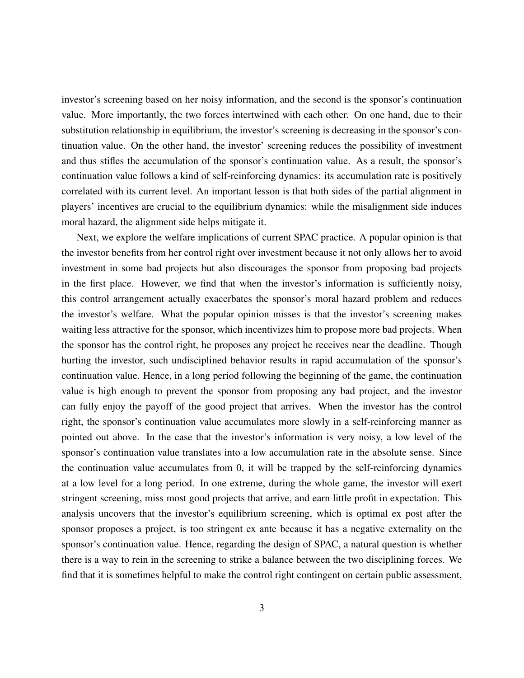investor's screening based on her noisy information, and the second is the sponsor's continuation value. More importantly, the two forces intertwined with each other. On one hand, due to their substitution relationship in equilibrium, the investor's screening is decreasing in the sponsor's continuation value. On the other hand, the investor' screening reduces the possibility of investment and thus stifles the accumulation of the sponsor's continuation value. As a result, the sponsor's continuation value follows a kind of self-reinforcing dynamics: its accumulation rate is positively correlated with its current level. An important lesson is that both sides of the partial alignment in players' incentives are crucial to the equilibrium dynamics: while the misalignment side induces moral hazard, the alignment side helps mitigate it.

Next, we explore the welfare implications of current SPAC practice. A popular opinion is that the investor benefits from her control right over investment because it not only allows her to avoid investment in some bad projects but also discourages the sponsor from proposing bad projects in the first place. However, we find that when the investor's information is sufficiently noisy, this control arrangement actually exacerbates the sponsor's moral hazard problem and reduces the investor's welfare. What the popular opinion misses is that the investor's screening makes waiting less attractive for the sponsor, which incentivizes him to propose more bad projects. When the sponsor has the control right, he proposes any project he receives near the deadline. Though hurting the investor, such undisciplined behavior results in rapid accumulation of the sponsor's continuation value. Hence, in a long period following the beginning of the game, the continuation value is high enough to prevent the sponsor from proposing any bad project, and the investor can fully enjoy the payoff of the good project that arrives. When the investor has the control right, the sponsor's continuation value accumulates more slowly in a self-reinforcing manner as pointed out above. In the case that the investor's information is very noisy, a low level of the sponsor's continuation value translates into a low accumulation rate in the absolute sense. Since the continuation value accumulates from 0, it will be trapped by the self-reinforcing dynamics at a low level for a long period. In one extreme, during the whole game, the investor will exert stringent screening, miss most good projects that arrive, and earn little profit in expectation. This analysis uncovers that the investor's equilibrium screening, which is optimal ex post after the sponsor proposes a project, is too stringent ex ante because it has a negative externality on the sponsor's continuation value. Hence, regarding the design of SPAC, a natural question is whether there is a way to rein in the screening to strike a balance between the two disciplining forces. We find that it is sometimes helpful to make the control right contingent on certain public assessment,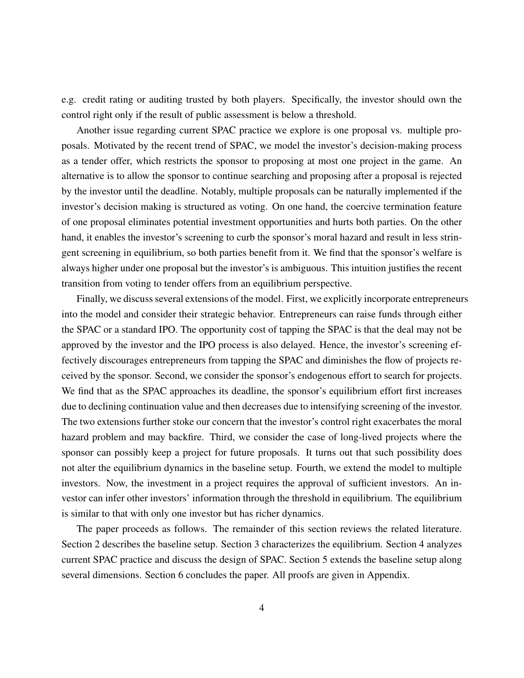e.g. credit rating or auditing trusted by both players. Specifically, the investor should own the control right only if the result of public assessment is below a threshold.

Another issue regarding current SPAC practice we explore is one proposal vs. multiple proposals. Motivated by the recent trend of SPAC, we model the investor's decision-making process as a tender offer, which restricts the sponsor to proposing at most one project in the game. An alternative is to allow the sponsor to continue searching and proposing after a proposal is rejected by the investor until the deadline. Notably, multiple proposals can be naturally implemented if the investor's decision making is structured as voting. On one hand, the coercive termination feature of one proposal eliminates potential investment opportunities and hurts both parties. On the other hand, it enables the investor's screening to curb the sponsor's moral hazard and result in less stringent screening in equilibrium, so both parties benefit from it. We find that the sponsor's welfare is always higher under one proposal but the investor's is ambiguous. This intuition justifies the recent transition from voting to tender offers from an equilibrium perspective.

Finally, we discuss several extensions of the model. First, we explicitly incorporate entrepreneurs into the model and consider their strategic behavior. Entrepreneurs can raise funds through either the SPAC or a standard IPO. The opportunity cost of tapping the SPAC is that the deal may not be approved by the investor and the IPO process is also delayed. Hence, the investor's screening effectively discourages entrepreneurs from tapping the SPAC and diminishes the flow of projects received by the sponsor. Second, we consider the sponsor's endogenous effort to search for projects. We find that as the SPAC approaches its deadline, the sponsor's equilibrium effort first increases due to declining continuation value and then decreases due to intensifying screening of the investor. The two extensions further stoke our concern that the investor's control right exacerbates the moral hazard problem and may backfire. Third, we consider the case of long-lived projects where the sponsor can possibly keep a project for future proposals. It turns out that such possibility does not alter the equilibrium dynamics in the baseline setup. Fourth, we extend the model to multiple investors. Now, the investment in a project requires the approval of sufficient investors. An investor can infer other investors' information through the threshold in equilibrium. The equilibrium is similar to that with only one investor but has richer dynamics.

The paper proceeds as follows. The remainder of this section reviews the related literature. Section 2 describes the baseline setup. Section 3 characterizes the equilibrium. Section 4 analyzes current SPAC practice and discuss the design of SPAC. Section 5 extends the baseline setup along several dimensions. Section 6 concludes the paper. All proofs are given in Appendix.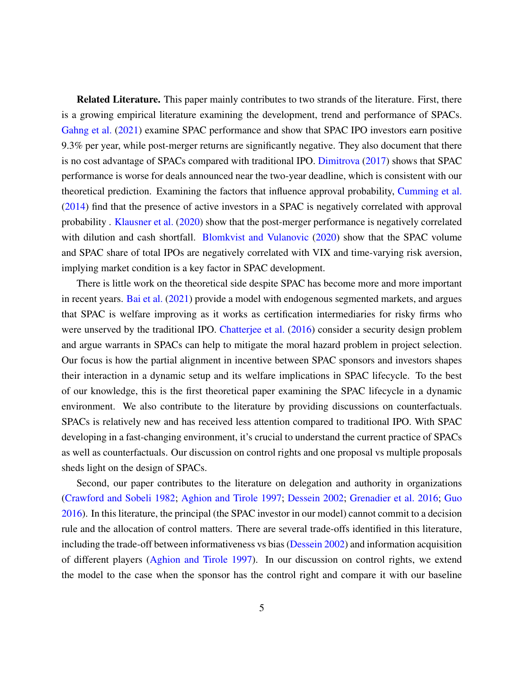Related Literature. This paper mainly contributes to two strands of the literature. First, there is a growing empirical literature examining the development, trend and performance of SPACs. [Gahng et al.](#page-33-0) [\(2021\)](#page-33-0) examine SPAC performance and show that SPAC IPO investors earn positive 9.3% per year, while post-merger returns are significantly negative. They also document that there is no cost advantage of SPACs compared with traditional IPO. [Dimitrova](#page-33-1) [\(2017\)](#page-33-1) shows that SPAC performance is worse for deals announced near the two-year deadline, which is consistent with our theoretical prediction. Examining the factors that influence approval probability, [Cumming et al.](#page-33-2) [\(2014\)](#page-33-2) find that the presence of active investors in a SPAC is negatively correlated with approval probability . [Klausner et al.](#page-33-3) [\(2020\)](#page-33-3) show that the post-merger performance is negatively correlated with dilution and cash shortfall. [Blomkvist and Vulanovic](#page-33-4) [\(2020\)](#page-33-4) show that the SPAC volume and SPAC share of total IPOs are negatively correlated with VIX and time-varying risk aversion, implying market condition is a key factor in SPAC development.

There is little work on the theoretical side despite SPAC has become more and more important in recent years. [Bai et al.](#page-33-5) [\(2021\)](#page-33-5) provide a model with endogenous segmented markets, and argues that SPAC is welfare improving as it works as certification intermediaries for risky firms who were unserved by the traditional IPO. [Chatterjee et al.](#page-33-6) [\(2016\)](#page-33-6) consider a security design problem and argue warrants in SPACs can help to mitigate the moral hazard problem in project selection. Our focus is how the partial alignment in incentive between SPAC sponsors and investors shapes their interaction in a dynamic setup and its welfare implications in SPAC lifecycle. To the best of our knowledge, this is the first theoretical paper examining the SPAC lifecycle in a dynamic environment. We also contribute to the literature by providing discussions on counterfactuals. SPACs is relatively new and has received less attention compared to traditional IPO. With SPAC developing in a fast-changing environment, it's crucial to understand the current practice of SPACs as well as counterfactuals. Our discussion on control rights and one proposal vs multiple proposals sheds light on the design of SPACs.

Second, our paper contributes to the literature on delegation and authority in organizations [\(Crawford and Sobeli](#page-33-7) [1982;](#page-33-7) [Aghion and Tirole](#page-33-8) [1997;](#page-33-8) [Dessein](#page-33-9) [2002;](#page-33-9) [Grenadier et al.](#page-33-10) [2016;](#page-33-10) [Guo](#page-33-11) [2016\)](#page-33-11). In this literature, the principal (the SPAC investor in our model) cannot commit to a decision rule and the allocation of control matters. There are several trade-offs identified in this literature, including the trade-off between informativeness vs bias [\(Dessein](#page-33-9) [2002\)](#page-33-9) and information acquisition of different players [\(Aghion and Tirole](#page-33-8) [1997\)](#page-33-8). In our discussion on control rights, we extend the model to the case when the sponsor has the control right and compare it with our baseline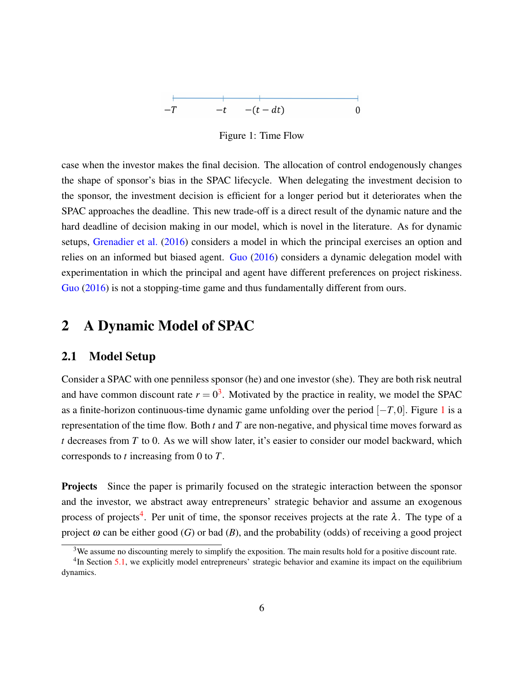<span id="page-6-1"></span>Figure 1: Time Flow

case when the investor makes the final decision. The allocation of control endogenously changes the shape of sponsor's bias in the SPAC lifecycle. When delegating the investment decision to the sponsor, the investment decision is efficient for a longer period but it deteriorates when the SPAC approaches the deadline. This new trade-off is a direct result of the dynamic nature and the hard deadline of decision making in our model, which is novel in the literature. As for dynamic setups, [Grenadier et al.](#page-33-10) [\(2016\)](#page-33-10) considers a model in which the principal exercises an option and relies on an informed but biased agent. [Guo](#page-33-11) [\(2016\)](#page-33-11) considers a dynamic delegation model with experimentation in which the principal and agent have different preferences on project riskiness. [Guo](#page-33-11) [\(2016\)](#page-33-11) is not a stopping-time game and thus fundamentally different from ours.

### 2 A Dynamic Model of SPAC

### 2.1 Model Setup

Consider a SPAC with one penniless sponsor (he) and one investor (she). They are both risk neutral and have common discount rate  $r = 0<sup>3</sup>$  $r = 0<sup>3</sup>$  $r = 0<sup>3</sup>$ . Motivated by the practice in reality, we model the SPAC as a finite-horizon continuous-time dynamic game unfolding over the period [−*T*,0]. Figure [1](#page-6-1) is a representation of the time flow. Both *t* and *T* are non-negative, and physical time moves forward as *t* decreases from *T* to 0. As we will show later, it's easier to consider our model backward, which corresponds to *t* increasing from 0 to *T*.

**Projects** Since the paper is primarily focused on the strategic interaction between the sponsor and the investor, we abstract away entrepreneurs' strategic behavior and assume an exogenous process of projects<sup>[4](#page-6-2)</sup>. Per unit of time, the sponsor receives projects at the rate  $\lambda$ . The type of a project  $\omega$  can be either good (*G*) or bad (*B*), and the probability (odds) of receiving a good project

<span id="page-6-2"></span><span id="page-6-0"></span> $3$ We assume no discounting merely to simplify the exposition. The main results hold for a positive discount rate.

<sup>&</sup>lt;sup>4</sup>In Section [5.1,](#page-24-0) we explicitly model entrepreneurs' strategic behavior and examine its impact on the equilibrium dynamics.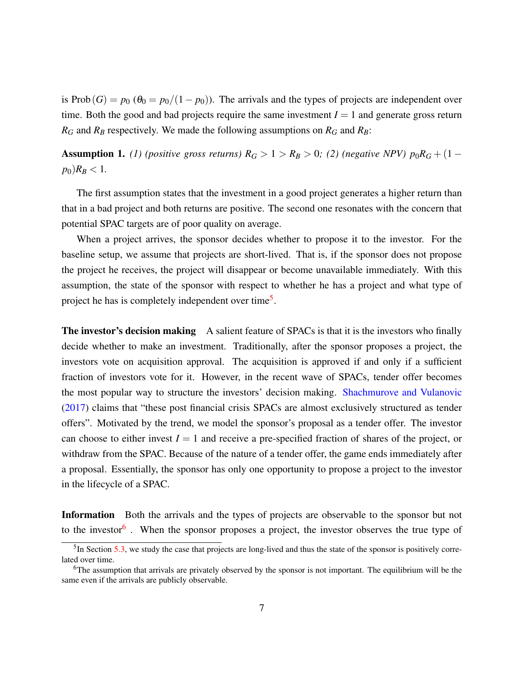is Prob(*G*) =  $p_0$  ( $\theta_0 = p_0/(1-p_0)$ ). The arrivals and the types of projects are independent over time. Both the good and bad projects require the same investment  $I = 1$  and generate gross return  $R_G$  and  $R_B$  respectively. We made the following assumptions on  $R_G$  and  $R_B$ :

<span id="page-7-2"></span>**Assumption 1.** *(1) (positive gross returns)*  $R_G > 1 > R_B > 0$ ; *(2) (negative NPV)*  $p_0R_G + (1$  $p_0$ *R<sub>B</sub>* < 1*.* 

The first assumption states that the investment in a good project generates a higher return than that in a bad project and both returns are positive. The second one resonates with the concern that potential SPAC targets are of poor quality on average.

When a project arrives, the sponsor decides whether to propose it to the investor. For the baseline setup, we assume that projects are short-lived. That is, if the sponsor does not propose the project he receives, the project will disappear or become unavailable immediately. With this assumption, the state of the sponsor with respect to whether he has a project and what type of project he has is completely independent over time<sup>[5](#page-7-0)</sup>.

The investor's decision making A salient feature of SPACs is that it is the investors who finally decide whether to make an investment. Traditionally, after the sponsor proposes a project, the investors vote on acquisition approval. The acquisition is approved if and only if a sufficient fraction of investors vote for it. However, in the recent wave of SPACs, tender offer becomes the most popular way to structure the investors' decision making. [Shachmurove and Vulanovic](#page-33-12) [\(2017\)](#page-33-12) claims that "these post financial crisis SPACs are almost exclusively structured as tender offers". Motivated by the trend, we model the sponsor's proposal as a tender offer. The investor can choose to either invest  $I = 1$  and receive a pre-specified fraction of shares of the project, or withdraw from the SPAC. Because of the nature of a tender offer, the game ends immediately after a proposal. Essentially, the sponsor has only one opportunity to propose a project to the investor in the lifecycle of a SPAC.

Information Both the arrivals and the types of projects are observable to the sponsor but not to the investor<sup>[6](#page-7-1)</sup>. When the sponsor proposes a project, the investor observes the true type of

<span id="page-7-0"></span> $<sup>5</sup>$  In Section [5.3,](#page-27-0) we study the case that projects are long-lived and thus the state of the sponsor is positively corre-</sup> lated over time.

<span id="page-7-1"></span><sup>&</sup>lt;sup>6</sup>The assumption that arrivals are privately observed by the sponsor is not important. The equilibrium will be the same even if the arrivals are publicly observable.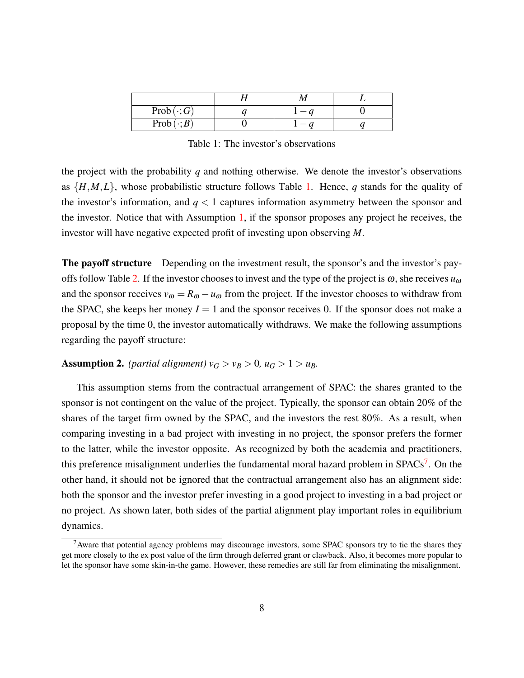| $Prob(\cdot;G)$  |  |  |
|------------------|--|--|
| $Prob(\cdot; B)$ |  |  |

<span id="page-8-0"></span>Table 1: The investor's observations

the project with the probability *q* and nothing otherwise. We denote the investor's observations as {*H*,*M*,*L*}, whose probabilistic structure follows Table [1.](#page-8-0) Hence, *q* stands for the quality of the investor's information, and  $q < 1$  captures information asymmetry between the sponsor and the investor. Notice that with Assumption [1,](#page-7-2) if the sponsor proposes any project he receives, the investor will have negative expected profit of investing upon observing *M*.

The payoff structure Depending on the investment result, the sponsor's and the investor's pay-offs follow Table [2.](#page-9-0) If the investor chooses to invest and the type of the project is  $\omega$ , she receives  $u_{\omega}$ and the sponsor receives  $v_{\omega} = R_{\omega} - u_{\omega}$  from the project. If the investor chooses to withdraw from the SPAC, she keeps her money  $I = 1$  and the sponsor receives 0. If the sponsor does not make a proposal by the time 0, the investor automatically withdraws. We make the following assumptions regarding the payoff structure:

#### Assumption 2. *(partial alignment)*  $v_G > v_B > 0$ ,  $u_G > 1 > u_B$ .

This assumption stems from the contractual arrangement of SPAC: the shares granted to the sponsor is not contingent on the value of the project. Typically, the sponsor can obtain 20% of the shares of the target firm owned by the SPAC, and the investors the rest 80%. As a result, when comparing investing in a bad project with investing in no project, the sponsor prefers the former to the latter, while the investor opposite. As recognized by both the academia and practitioners, this preference misalignment underlies the fundamental moral hazard problem in SPACs<sup>[7](#page-8-1)</sup>. On the other hand, it should not be ignored that the contractual arrangement also has an alignment side: both the sponsor and the investor prefer investing in a good project to investing in a bad project or no project. As shown later, both sides of the partial alignment play important roles in equilibrium dynamics.

<span id="page-8-1"></span><sup>&</sup>lt;sup>7</sup> Aware that potential agency problems may discourage investors, some SPAC sponsors try to tie the shares they get more closely to the ex post value of the firm through deferred grant or clawback. Also, it becomes more popular to let the sponsor have some skin-in-the game. However, these remedies are still far from eliminating the misalignment.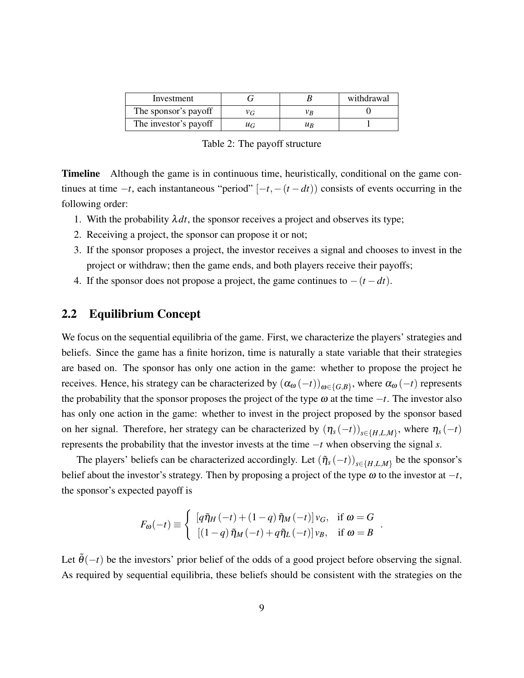| Investment            |         |                    | withdrawal |
|-----------------------|---------|--------------------|------------|
| The sponsor's payoff  |         | Vв                 |            |
| The investor's payoff | $\mu_G$ | $\mu$ <sub>R</sub> |            |

<span id="page-9-0"></span>Table 2: The payoff structure

**Timeline** Although the game is in continuous time, heuristically, conditional on the game continues at time  $-t$ , each instantaneous "period"  $[-t, -(t - dt))$  consists of events occurring in the following order:

- 1. With the probability  $\lambda dt$ , the sponsor receives a project and observes its type;
- 2. Receiving a project, the sponsor can propose it or not;
- 3. If the sponsor proposes a project, the investor receives a signal and chooses to invest in the project or withdraw; then the game ends, and both players receive their payoffs;
- 4. If the sponsor does not propose a project, the game continues to  $-(t dt)$ .

### 2.2 Equilibrium Concept

We focus on the sequential equilibria of the game. First, we characterize the players' strategies and beliefs. Since the game has a finite horizon, time is naturally a state variable that their strategies are based on. The sponsor has only one action in the game: whether to propose the project he receives. Hence, his strategy can be characterized by  $(\alpha_\omega(-t))_{\omega\in\{G,B\}}$ , where  $\alpha_\omega(-t)$  represents the probability that the sponsor proposes the project of the type  $\omega$  at the time  $-t$ . The investor also has only one action in the game: whether to invest in the project proposed by the sponsor based on her signal. Therefore, her strategy can be characterized by  $(\eta_s(-t))_{s \in \{H, L, M\}}$ , where  $\eta_s(-t)$ represents the probability that the investor invests at the time −*t* when observing the signal *s*.

The players' beliefs can be characterized accordingly. Let  $(\tilde{\eta}_s(-t))_{s \in \{H, L, M\}}$  be the sponsor's belief about the investor's strategy. Then by proposing a project of the type  $\omega$  to the investor at  $-t$ , the sponsor's expected payoff is

$$
F_{\omega}(-t) \equiv \begin{cases} \left[ q\tilde{\eta}_H(-t) + (1-q)\tilde{\eta}_M(-t) \right] v_G, & \text{if } \omega = G \\ \left[ (1-q)\tilde{\eta}_M(-t) + q\tilde{\eta}_L(-t) \right] v_B, & \text{if } \omega = B \end{cases}
$$

.

Let  $\tilde{\theta}(-t)$  be the investors' prior belief of the odds of a good project before observing the signal. As required by sequential equilibria, these beliefs should be consistent with the strategies on the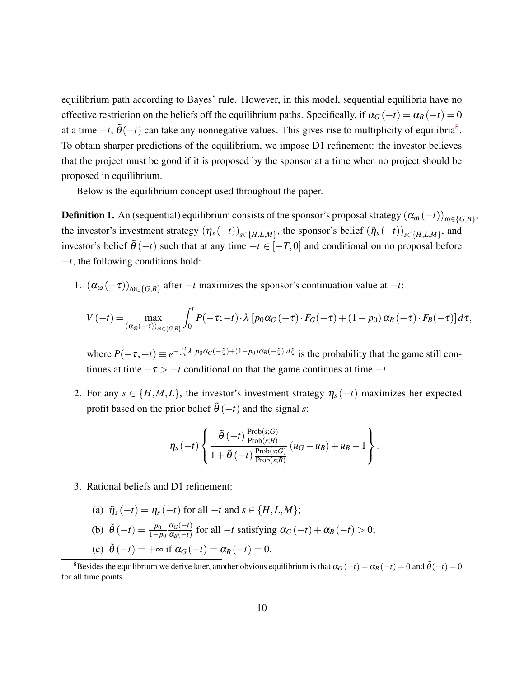equilibrium path according to Bayes' rule. However, in this model, sequential equilibria have no effective restriction on the beliefs off the equilibrium paths. Specifically, if  $\alpha_G(-t) = \alpha_B(-t) = 0$ at a time  $-t$ ,  $\tilde{\theta}(-t)$  can take any nonnegative values. This gives rise to multiplicity of equilibria<sup>[8](#page-10-0)</sup>. To obtain sharper predictions of the equilibrium, we impose D1 refinement: the investor believes that the project must be good if it is proposed by the sponsor at a time when no project should be proposed in equilibrium.

Below is the equilibrium concept used throughout the paper.

<span id="page-10-1"></span>**Definition 1.** An (sequential) equilibrium consists of the sponsor's proposal strategy  $(\alpha_\omega(-t))_{\omega\in\{G,B\}}$ , the investor's investment strategy  $(\eta_s(-t))_{s \in \{H,L,M\}}$ , the sponsor's belief  $(\tilde{\eta}_s(-t))_{s \in \{H,L,M\}}$ , and investor's belief  $\tilde{\theta}(-t)$  such that at any time  $-t \in [-T,0]$  and conditional on no proposal before −*t*, the following conditions hold:

1.  $(\alpha_{\omega}(-\tau))_{\omega \in \{G, B\}}$  after  $-t$  maximizes the sponsor's continuation value at  $-t$ :

$$
V(-t) = \max_{(\alpha_{\omega}(-\tau))_{\omega \in \{G,B\}}} \int_0^t P(-\tau; -t) \cdot \lambda \left[ p_0 \alpha_G(-\tau) \cdot F_G(-\tau) + (1-p_0) \alpha_B(-\tau) \cdot F_B(-\tau) \right] d\tau,
$$

where  $P(-\tau; -t) \equiv e^{-\int_{\tau}^{t} \lambda [p_0 \alpha_G(-\xi)+(1-p_0)\alpha_B(-\xi)]d\xi}$  is the probability that the game still continues at time  $-\tau$  >  $-\tau$  conditional on that the game continues at time  $-t$ .

2. For any  $s \in \{H, M, L\}$ , the investor's investment strategy  $\eta_s(-t)$  maximizes her expected profit based on the prior belief  $\tilde{\theta}(-t)$  and the signal *s*:

$$
\eta_s(-t)\left\{\frac{\tilde{\theta}(-t)\frac{\text{Prob}(s;G)}{\text{Prob}(s;B)}}{1+\tilde{\theta}(-t)\frac{\text{Prob}(s;G)}{\text{Prob}(s;B)}}(u_G-u_B)+u_B-1\right\}.
$$

3. Rational beliefs and D1 refinement:

\n- (a) 
$$
\tilde{\eta}_s(-t) = \eta_s(-t)
$$
 for all  $-t$  and  $s \in \{H, L, M\};$
\n- (b)  $\tilde{\theta}(-t) = \frac{p_0}{1 - p_0} \frac{\alpha_G(-t)}{\alpha_B(-t)}$  for all  $-t$  satisfying  $\alpha_G(-t) + \alpha_B(-t) > 0;$
\n- (c)  $\tilde{\theta}(-t) = +\infty$  if  $\alpha_G(-t) = \alpha_B(-t) = 0.$
\n

<span id="page-10-0"></span><sup>&</sup>lt;sup>8</sup>Besides the equilibrium we derive later, another obvious equilibrium is that  $\alpha$ <sup>*G*</sup> (−*t*) = 0 and  $\tilde{\theta}$  (−*t*) = 0 for all time points.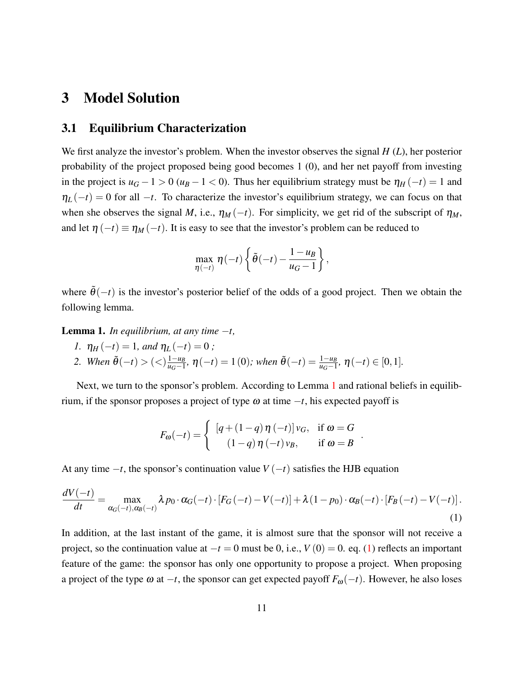## 3 Model Solution

### 3.1 Equilibrium Characterization

We first analyze the investor's problem. When the investor observes the signal *H* (*L*), her posterior probability of the project proposed being good becomes 1 (0), and her net payoff from investing in the project is  $u_G - 1 > 0$  ( $u_B - 1 < 0$ ). Thus her equilibrium strategy must be  $\eta_H(-t) = 1$  and  $\eta_L(-t) = 0$  for all  $-t$ . To characterize the investor's equilibrium strategy, we can focus on that when she observes the signal *M*, i.e.,  $\eta_M(-t)$ . For simplicity, we get rid of the subscript of  $\eta_M$ , and let  $\eta(-t) \equiv \eta_M(-t)$ . It is easy to see that the investor's problem can be reduced to

$$
\max_{\eta(-t)} \eta(-t) \left\{ \tilde{\theta}(-t) - \frac{1 - u_B}{u_G - 1} \right\},\,
$$

where  $\tilde{\theta}(-t)$  is the investor's posterior belief of the odds of a good project. Then we obtain the following lemma.

<span id="page-11-0"></span>**Lemma 1.** *In equilibrium, at any time*  $-t$ *,* 

- *1.*  $\eta_H(-t) = 1$ *, and*  $\eta_L(-t) = 0$ *;*
- *2. When*  $\tilde{\theta}(-t) > \frac{1-u_B}{u_C-1}$  $\frac{1-u_B}{u_G-1}$ ,  $\eta(-t) = 1(0)$ ; when  $\tilde{\theta}(-t) = \frac{1-u_B}{u_G-1}$ ,  $\eta(-t) \in [0,1]$ .

Next, we turn to the sponsor's problem. According to Lemma [1](#page-11-0) and rational beliefs in equilibrium, if the sponsor proposes a project of type  $\omega$  at time  $-t$ , his expected payoff is

$$
F_{\omega}(-t) = \begin{cases} \left[ q + (1-q)\,\eta\,(-t) \right] v_G, & \text{if } \omega = G \\ \left( 1-q \right) \eta\,(-t) \, v_B, & \text{if } \omega = B \end{cases}
$$

.

At any time  $-t$ , the sponsor's continuation value  $V(-t)$  satisfies the HJB equation

<span id="page-11-1"></span>
$$
\frac{dV(-t)}{dt} = \max_{\alpha_G(-t),\alpha_B(-t)} \lambda p_0 \cdot \alpha_G(-t) \cdot [F_G(-t) - V(-t)] + \lambda (1 - p_0) \cdot \alpha_B(-t) \cdot [F_B(-t) - V(-t)].
$$
\n(1)

In addition, at the last instant of the game, it is almost sure that the sponsor will not receive a project, so the continuation value at  $-t = 0$  must be 0, i.e.,  $V(0) = 0$ . eq. [\(1\)](#page-11-1) reflects an important feature of the game: the sponsor has only one opportunity to propose a project. When proposing a project of the type  $\omega$  at  $-t$ , the sponsor can get expected payoff  $F_{\omega}(-t)$ . However, he also loses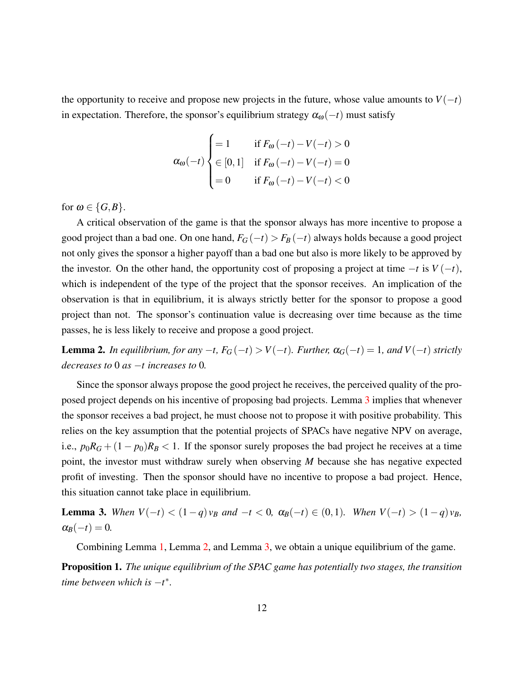the opportunity to receive and propose new projects in the future, whose value amounts to  $V(-t)$ in expectation. Therefore, the sponsor's equilibrium strategy  $\alpha_{\omega}(-t)$  must satisfy

$$
\alpha_{\omega}(-t) \begin{cases} = 1 & \text{if } F_{\omega}(-t) - V(-t) > 0 \\ \in [0, 1] & \text{if } F_{\omega}(-t) - V(-t) = 0 \\ = 0 & \text{if } F_{\omega}(-t) - V(-t) < 0 \end{cases}
$$

for  $\omega \in \{G, B\}.$ 

A critical observation of the game is that the sponsor always has more incentive to propose a good project than a bad one. On one hand,  $F_G(-t) > F_B(-t)$  always holds because a good project not only gives the sponsor a higher payoff than a bad one but also is more likely to be approved by the investor. On the other hand, the opportunity cost of proposing a project at time  $-t$  is  $V(-t)$ , which is independent of the type of the project that the sponsor receives. An implication of the observation is that in equilibrium, it is always strictly better for the sponsor to propose a good project than not. The sponsor's continuation value is decreasing over time because as the time passes, he is less likely to receive and propose a good project.

<span id="page-12-1"></span>**Lemma 2.** *In equilibrium, for any*  $-t$ ,  $F_G(-t) > V(-t)$ *. Further,*  $α_G(-t) = 1$ *, and*  $V(-t)$  *strictly decreases to* 0 *as* −*t increases to* 0*.*

Since the sponsor always propose the good project he receives, the perceived quality of the proposed project depends on his incentive of proposing bad projects. Lemma [3](#page-12-0) implies that whenever the sponsor receives a bad project, he must choose not to propose it with positive probability. This relies on the key assumption that the potential projects of SPACs have negative NPV on average, i.e.,  $p_0R_G + (1 - p_0)R_B < 1$ . If the sponsor surely proposes the bad project he receives at a time point, the investor must withdraw surely when observing *M* because she has negative expected profit of investing. Then the sponsor should have no incentive to propose a bad project. Hence, this situation cannot take place in equilibrium.

<span id="page-12-0"></span>**Lemma 3.** When  $V(-t) < (1-q)v_B$  and  $-t < 0$ ,  $\alpha_B(-t) \in (0,1)$ *. When*  $V(-t) > (1-q)v_B$ *,*  $\alpha_B(-t) = 0.$ 

Combining Lemma [1,](#page-11-0) Lemma [2,](#page-12-1) and Lemma [3,](#page-12-0) we obtain a unique equilibrium of the game.

<span id="page-12-2"></span>Proposition 1. *The unique equilibrium of the SPAC game has potentially two stages, the transition time between which is*  $-t^*$ .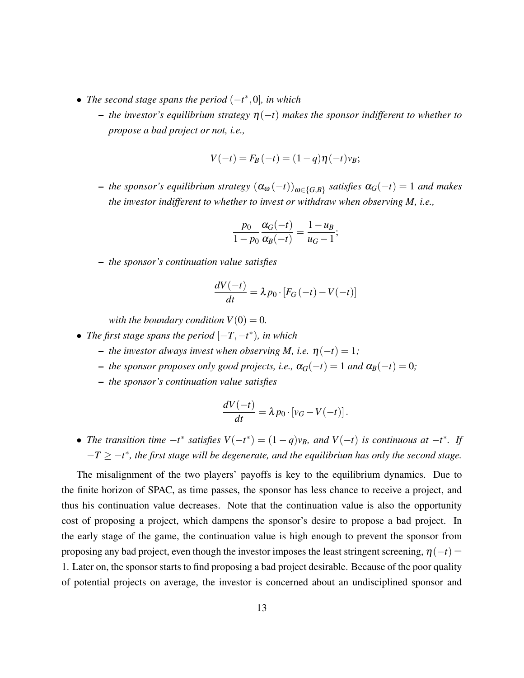- *The second stage spans the period* (−*t* ∗ ,0]*, in which*
	- *the investor's equilibrium strategy* η(−*t*) *makes the sponsor indifferent to whether to propose a bad project or not, i.e.,*

$$
V(-t) = F_B(-t) = (1-q)\eta(-t)v_B;
$$

– *the sponsor's equilibrium strategy* (α<sup>ω</sup> (−*t*))ω∈{*G*,*B*} *satisfies* α*G*(−*t*) = 1 *and makes the investor indifferent to whether to invest or withdraw when observing M, i.e.,*

$$
\frac{p_0}{1-p_0}\frac{\alpha_G(-t)}{\alpha_B(-t)}=\frac{1-u_B}{u_G-1};
$$

– *the sponsor's continuation value satisfies*

$$
\frac{dV(-t)}{dt} = \lambda p_0 \cdot [F_G(-t) - V(-t)]
$$

*with the boundary condition*  $V(0) = 0$ *.* 

- *The first stage spans the period*  $[-T, -t^*)$ *, in which* 
	- $-$  *the investor always invest when observing M, i.e.*  $η(-t) = 1;$
	- $-$  *the sponsor proposes only good projects, i.e.,*  $\alpha$ <sup>*G*</sup>(−*t*) = 1 *and*  $\alpha$ <sup>*B*</sup>(−*t*) = 0*;*
	- *the sponsor's continuation value satisfies*

$$
\frac{dV(-t)}{dt} = \lambda p_0 \cdot [v_G - V(-t)].
$$

• *The transition time*  $-t^*$  *satisfies*  $V(-t^*) = (1-q)v_B$ *, and*  $V(-t)$  *is continuous at*  $-t^*$ *. If* −*T* ≥ −*t* ∗ *, the first stage will be degenerate, and the equilibrium has only the second stage.*

The misalignment of the two players' payoffs is key to the equilibrium dynamics. Due to the finite horizon of SPAC, as time passes, the sponsor has less chance to receive a project, and thus his continuation value decreases. Note that the continuation value is also the opportunity cost of proposing a project, which dampens the sponsor's desire to propose a bad project. In the early stage of the game, the continuation value is high enough to prevent the sponsor from proposing any bad project, even though the investor imposes the least stringent screening,  $\eta(-t)$  = 1. Later on, the sponsor starts to find proposing a bad project desirable. Because of the poor quality of potential projects on average, the investor is concerned about an undisciplined sponsor and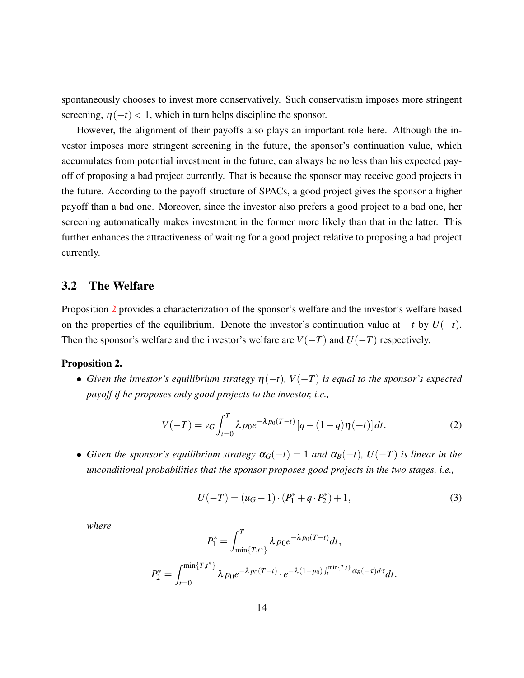spontaneously chooses to invest more conservatively. Such conservatism imposes more stringent screening,  $\eta(-t)$  < 1, which in turn helps discipline the sponsor.

However, the alignment of their payoffs also plays an important role here. Although the investor imposes more stringent screening in the future, the sponsor's continuation value, which accumulates from potential investment in the future, can always be no less than his expected payoff of proposing a bad project currently. That is because the sponsor may receive good projects in the future. According to the payoff structure of SPACs, a good project gives the sponsor a higher payoff than a bad one. Moreover, since the investor also prefers a good project to a bad one, her screening automatically makes investment in the former more likely than that in the latter. This further enhances the attractiveness of waiting for a good project relative to proposing a bad project currently.

#### 3.2 The Welfare

Proposition [2](#page-14-0) provides a characterization of the sponsor's welfare and the investor's welfare based on the properties of the equilibrium. Denote the investor's continuation value at −*t* by *U*(−*t*). Then the sponsor's welfare and the investor's welfare are  $V(-T)$  and  $U(-T)$  respectively.

#### <span id="page-14-0"></span>Proposition 2.

• Given the investor's equilibrium strategy  $\eta(-t)$ ,  $V(-T)$  is equal to the sponsor's expected *payoff if he proposes only good projects to the investor, i.e.,*

<span id="page-14-1"></span>
$$
V(-T) = v_G \int_{t=0}^{T} \lambda p_0 e^{-\lambda p_0(T-t)} \left[ q + (1-q)\eta(-t) \right] dt.
$$
 (2)

• *Given the sponsor's equilibrium strategy*  $\alpha_G(-t) = 1$  *and*  $\alpha_B(-t)$ *, U* $(-T)$  *is linear in the unconditional probabilities that the sponsor proposes good projects in the two stages, i.e.,*

<span id="page-14-2"></span>
$$
U(-T) = (u_G - 1) \cdot (P_1^* + q \cdot P_2^*) + 1,\tag{3}
$$

*where*

$$
P_1^* = \int_{\min\{T,t^*\}}^1 \lambda p_0 e^{-\lambda p_0(T-t)} dt,
$$
  

$$
P_2^* = \int_{t=0}^{\min\{T,t^*\}} \lambda p_0 e^{-\lambda p_0(T-t)} \cdot e^{-\lambda(1-p_0)\int_t^{\min\{T,t\}} \alpha_B(-\tau) d\tau} dt.
$$

 $\boldsymbol{\tau}$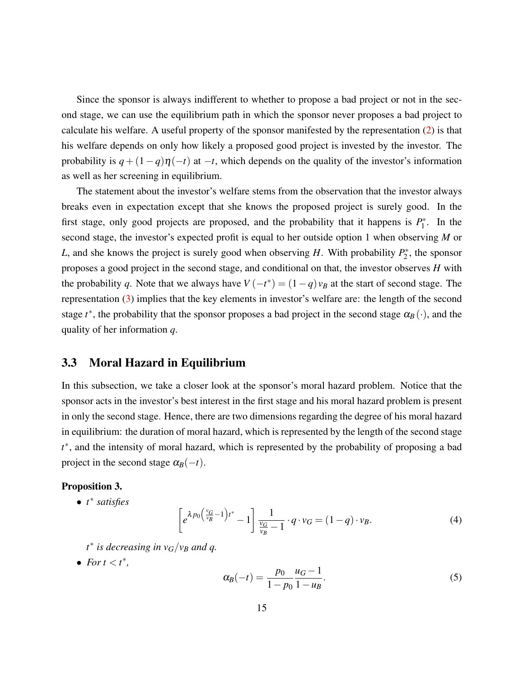Since the sponsor is always indifferent to whether to propose a bad project or not in the second stage, we can use the equilibrium path in which the sponsor never proposes a bad project to calculate his welfare. A useful property of the sponsor manifested by the representation [\(2\)](#page-14-1) is that his welfare depends on only how likely a proposed good project is invested by the investor. The probability is  $q + (1 - q)\eta(-t)$  at  $-t$ , which depends on the quality of the investor's information as well as her screening in equilibrium.

The statement about the investor's welfare stems from the observation that the investor always breaks even in expectation except that she knows the proposed project is surely good. In the first stage, only good projects are proposed, and the probability that it happens is  $P_1^*$  $j^*$ . In the second stage, the investor's expected profit is equal to her outside option 1 when observing *M* or *L*, and she knows the project is surely good when observing *H*. With probability  $P_2^*$  $2^*$ , the sponsor proposes a good project in the second stage, and conditional on that, the investor observes *H* with the probability *q*. Note that we always have  $V(-t^*) = (1-q)v_B$  at the start of second stage. The representation [\(3\)](#page-14-2) implies that the key elements in investor's welfare are: the length of the second stage  $t^*$ , the probability that the sponsor proposes a bad project in the second stage  $\alpha_B(\cdot)$ , and the quality of her information *q*.

#### <span id="page-15-1"></span>3.3 Moral Hazard in Equilibrium

In this subsection, we take a closer look at the sponsor's moral hazard problem. Notice that the sponsor acts in the investor's best interest in the first stage and his moral hazard problem is present in only the second stage. Hence, there are two dimensions regarding the degree of his moral hazard in equilibrium: the duration of moral hazard, which is represented by the length of the second stage *t* ∗ , and the intensity of moral hazard, which is represented by the probability of proposing a bad project in the second stage  $\alpha_B(-t)$ .

#### <span id="page-15-2"></span>Proposition 3.

• *t* ∗ *satisfies*

<span id="page-15-0"></span>
$$
\left[e^{\lambda p_0\left(\frac{v_G}{v_B}-1\right)t^*}-1\right]\frac{1}{\frac{v_G}{v_B}-1}\cdot q\cdot v_G=(1-q)\cdot v_B.
$$
\n(4)

- *t* ∗ *is decreasing in vG*/*v<sup>B</sup> and q.*
- For  $t < t^*$ ,

$$
\alpha_B(-t) = \frac{p_0}{1 - p_0} \frac{u_G - 1}{1 - u_B}.\tag{5}
$$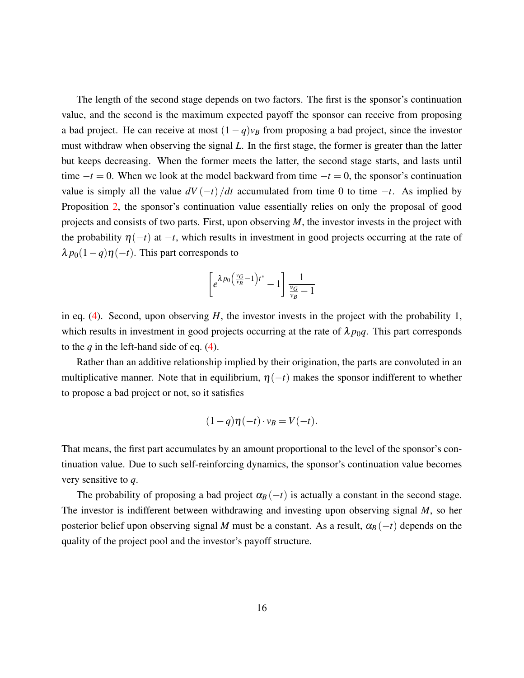The length of the second stage depends on two factors. The first is the sponsor's continuation value, and the second is the maximum expected payoff the sponsor can receive from proposing a bad project. He can receive at most  $(1 - q)v_B$  from proposing a bad project, since the investor must withdraw when observing the signal *L*. In the first stage, the former is greater than the latter but keeps decreasing. When the former meets the latter, the second stage starts, and lasts until time  $-t = 0$ . When we look at the model backward from time  $-t = 0$ , the sponsor's continuation value is simply all the value  $dV(-t)/dt$  accumulated from time 0 to time  $-t$ . As implied by Proposition [2,](#page-14-0) the sponsor's continuation value essentially relies on only the proposal of good projects and consists of two parts. First, upon observing *M*, the investor invests in the project with the probability  $\eta(-t)$  at  $-t$ , which results in investment in good projects occurring at the rate of  $\lambda p_0(1-q)\eta(-t)$ . This part corresponds to

$$
\left[e^{\lambda p_0 \left(\frac{v_G}{v_B} - 1\right)t^*} - 1\right] \frac{1}{\frac{v_G}{v_B} - 1}
$$

in eq.  $(4)$ . Second, upon observing *H*, the investor invests in the project with the probability 1, which results in investment in good projects occurring at the rate of  $\lambda p_0 q$ . This part corresponds to the *q* in the left-hand side of eq. [\(4\)](#page-15-0).

Rather than an additive relationship implied by their origination, the parts are convoluted in an multiplicative manner. Note that in equilibrium,  $\eta(-t)$  makes the sponsor indifferent to whether to propose a bad project or not, so it satisfies

$$
(1-q)\eta(-t)\cdot v_B=V(-t).
$$

That means, the first part accumulates by an amount proportional to the level of the sponsor's continuation value. Due to such self-reinforcing dynamics, the sponsor's continuation value becomes very sensitive to *q*.

The probability of proposing a bad project  $\alpha_B(-t)$  is actually a constant in the second stage. The investor is indifferent between withdrawing and investing upon observing signal *M*, so her posterior belief upon observing signal *M* must be a constant. As a result,  $\alpha_B(-t)$  depends on the quality of the project pool and the investor's payoff structure.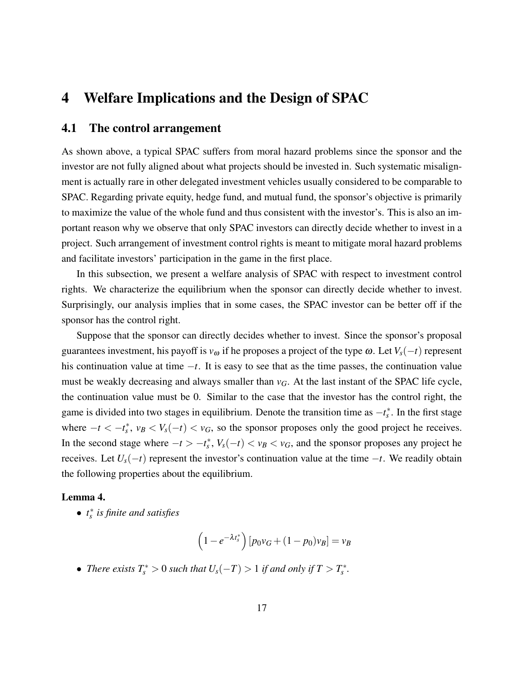## 4 Welfare Implications and the Design of SPAC

### <span id="page-17-1"></span>4.1 The control arrangement

As shown above, a typical SPAC suffers from moral hazard problems since the sponsor and the investor are not fully aligned about what projects should be invested in. Such systematic misalignment is actually rare in other delegated investment vehicles usually considered to be comparable to SPAC. Regarding private equity, hedge fund, and mutual fund, the sponsor's objective is primarily to maximize the value of the whole fund and thus consistent with the investor's. This is also an important reason why we observe that only SPAC investors can directly decide whether to invest in a project. Such arrangement of investment control rights is meant to mitigate moral hazard problems and facilitate investors' participation in the game in the first place.

In this subsection, we present a welfare analysis of SPAC with respect to investment control rights. We characterize the equilibrium when the sponsor can directly decide whether to invest. Surprisingly, our analysis implies that in some cases, the SPAC investor can be better off if the sponsor has the control right.

Suppose that the sponsor can directly decides whether to invest. Since the sponsor's proposal guarantees investment, his payoff is  $v_{\omega}$  if he proposes a project of the type  $\omega$ . Let  $V_s(-t)$  represent his continuation value at time −*t*. It is easy to see that as the time passes, the continuation value must be weakly decreasing and always smaller than  $v_G$ . At the last instant of the SPAC life cycle, the continuation value must be 0. Similar to the case that the investor has the control right, the game is divided into two stages in equilibrium. Denote the transition time as  $-t_s^*$ . In the first stage where  $-t < -t_s^*$ ,  $v_B < V_s(-t) < v_G$ , so the sponsor proposes only the good project he receives. In the second stage where  $-t > -t_s^*$ ,  $V_s(-t) < v_B < v_G$ , and the sponsor proposes any project he receives. Let *Us*(−*t*) represent the investor's continuation value at the time −*t*. We readily obtain the following properties about the equilibrium.

#### <span id="page-17-0"></span>Lemma 4.

• *t* ∗ *s is finite and satisfies*

$$
\left(1 - e^{-\lambda t_s^*}\right) \left[p_0 v_G + (1 - p_0)v_B\right] = v_B
$$

• *There exists*  $T_s^* > 0$  *such that*  $U_s(-T) > 1$  *if and only if*  $T > T_s^*$ *.*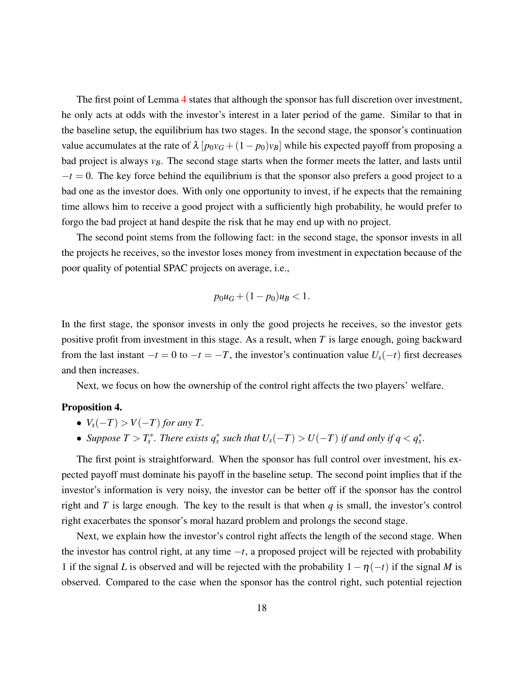The first point of Lemma [4](#page-17-0) states that although the sponsor has full discretion over investment, he only acts at odds with the investor's interest in a later period of the game. Similar to that in the baseline setup, the equilibrium has two stages. In the second stage, the sponsor's continuation value accumulates at the rate of  $\lambda [p_0v_G + (1-p_0)v_B]$  while his expected payoff from proposing a bad project is always *vB*. The second stage starts when the former meets the latter, and lasts until  $-t=0$ . The key force behind the equilibrium is that the sponsor also prefers a good project to a bad one as the investor does. With only one opportunity to invest, if he expects that the remaining time allows him to receive a good project with a sufficiently high probability, he would prefer to forgo the bad project at hand despite the risk that he may end up with no project.

The second point stems from the following fact: in the second stage, the sponsor invests in all the projects he receives, so the investor loses money from investment in expectation because of the poor quality of potential SPAC projects on average, i.e.,

$$
p_0u_G + (1 - p_0)u_B < 1.
$$

In the first stage, the sponsor invests in only the good projects he receives, so the investor gets positive profit from investment in this stage. As a result, when *T* is large enough, going backward from the last instant  $-t = 0$  to  $-t = -T$ , the investor's continuation value  $U_s(-t)$  first decreases and then increases.

Next, we focus on how the ownership of the control right affects the two players' welfare.

#### <span id="page-18-0"></span>Proposition 4.

- $V_s(-T) > V(-T)$  *for any T*.
- Suppose  $T > T_s^*$ . There exists  $q_s^*$  such that  $U_s(-T) > U(-T)$  if and only if  $q < q_s^*$ .

The first point is straightforward. When the sponsor has full control over investment, his expected payoff must dominate his payoff in the baseline setup. The second point implies that if the investor's information is very noisy, the investor can be better off if the sponsor has the control right and *T* is large enough. The key to the result is that when *q* is small, the investor's control right exacerbates the sponsor's moral hazard problem and prolongs the second stage.

Next, we explain how the investor's control right affects the length of the second stage. When the investor has control right, at any time −*t*, a proposed project will be rejected with probability 1 if the signal *L* is observed and will be rejected with the probability  $1 - \eta(-t)$  if the signal *M* is observed. Compared to the case when the sponsor has the control right, such potential rejection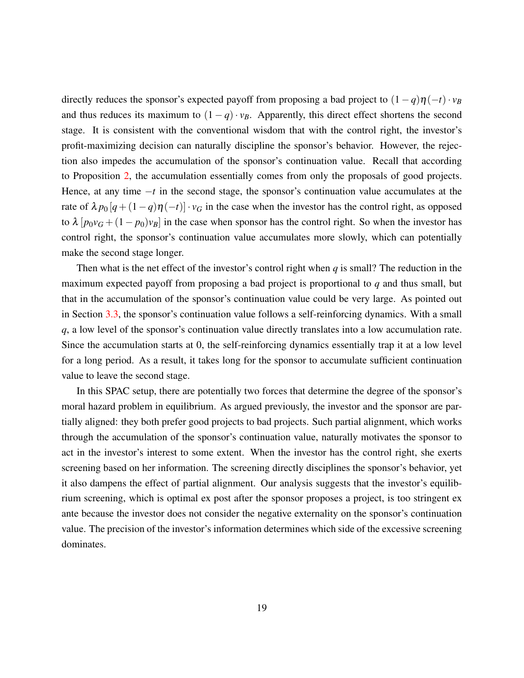directly reduces the sponsor's expected payoff from proposing a bad project to  $(1-q)\eta(-t) \cdot v_B$ and thus reduces its maximum to  $(1 - q) \cdot v_B$ . Apparently, this direct effect shortens the second stage. It is consistent with the conventional wisdom that with the control right, the investor's profit-maximizing decision can naturally discipline the sponsor's behavior. However, the rejection also impedes the accumulation of the sponsor's continuation value. Recall that according to Proposition [2,](#page-14-0) the accumulation essentially comes from only the proposals of good projects. Hence, at any time −*t* in the second stage, the sponsor's continuation value accumulates at the rate of  $\lambda p_0[q + (1-q)\eta(-t)] \cdot v_G$  in the case when the investor has the control right, as opposed to  $\lambda [p_0v_G + (1-p_0)v_B]$  in the case when sponsor has the control right. So when the investor has control right, the sponsor's continuation value accumulates more slowly, which can potentially make the second stage longer.

Then what is the net effect of the investor's control right when *q* is small? The reduction in the maximum expected payoff from proposing a bad project is proportional to *q* and thus small, but that in the accumulation of the sponsor's continuation value could be very large. As pointed out in Section [3.3,](#page-15-1) the sponsor's continuation value follows a self-reinforcing dynamics. With a small *q*, a low level of the sponsor's continuation value directly translates into a low accumulation rate. Since the accumulation starts at 0, the self-reinforcing dynamics essentially trap it at a low level for a long period. As a result, it takes long for the sponsor to accumulate sufficient continuation value to leave the second stage.

In this SPAC setup, there are potentially two forces that determine the degree of the sponsor's moral hazard problem in equilibrium. As argued previously, the investor and the sponsor are partially aligned: they both prefer good projects to bad projects. Such partial alignment, which works through the accumulation of the sponsor's continuation value, naturally motivates the sponsor to act in the investor's interest to some extent. When the investor has the control right, she exerts screening based on her information. The screening directly disciplines the sponsor's behavior, yet it also dampens the effect of partial alignment. Our analysis suggests that the investor's equilibrium screening, which is optimal ex post after the sponsor proposes a project, is too stringent ex ante because the investor does not consider the negative externality on the sponsor's continuation value. The precision of the investor's information determines which side of the excessive screening dominates.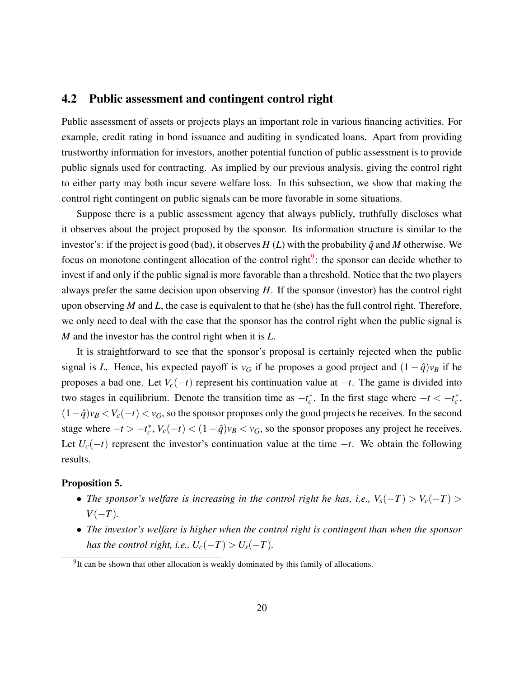### 4.2 Public assessment and contingent control right

Public assessment of assets or projects plays an important role in various financing activities. For example, credit rating in bond issuance and auditing in syndicated loans. Apart from providing trustworthy information for investors, another potential function of public assessment is to provide public signals used for contracting. As implied by our previous analysis, giving the control right to either party may both incur severe welfare loss. In this subsection, we show that making the control right contingent on public signals can be more favorable in some situations.

Suppose there is a public assessment agency that always publicly, truthfully discloses what it observes about the project proposed by the sponsor. Its information structure is similar to the investor's: if the project is good (bad), it observes  $H(L)$  with the probability  $\hat{q}$  and  $M$  otherwise. We focus on monotone contingent allocation of the control right<sup>[9](#page-20-0)</sup>: the sponsor can decide whether to invest if and only if the public signal is more favorable than a threshold. Notice that the two players always prefer the same decision upon observing *H*. If the sponsor (investor) has the control right upon observing *M* and *L*, the case is equivalent to that he (she) has the full control right. Therefore, we only need to deal with the case that the sponsor has the control right when the public signal is *M* and the investor has the control right when it is *L*.

It is straightforward to see that the sponsor's proposal is certainly rejected when the public signal is *L*. Hence, his expected payoff is  $v_G$  if he proposes a good project and  $(1 - \hat{q})v_B$  if he proposes a bad one. Let  $V_c(-t)$  represent his continuation value at  $-t$ . The game is divided into two stages in equilibrium. Denote the transition time as  $-t_c^*$ . In the first stage where  $-t < -t_c^*$ ,  $(1-\hat{q})v_B < V_c(-t) < v_G$ , so the sponsor proposes only the good projects he receives. In the second stage where  $-t > -t_c^*$ ,  $V_c(-t) < (1 - \hat{q})v_B < v_G$ , so the sponsor proposes any project he receives. Let  $U_c(-t)$  represent the investor's continuation value at the time  $-t$ . We obtain the following results.

#### <span id="page-20-1"></span>Proposition 5.

- *The sponsor's welfare is increasing in the control right he has, i.e.,*  $V_s(-T) > V_c(-T) >$ *V*(−*T*)*.*
- *The investor's welfare is higher when the control right is contingent than when the sponsor has the control right, i.e.,*  $U_c(-T) > U_s(-T)$ *.*

<span id="page-20-0"></span><sup>&</sup>lt;sup>9</sup>It can be shown that other allocation is weakly dominated by this family of allocations.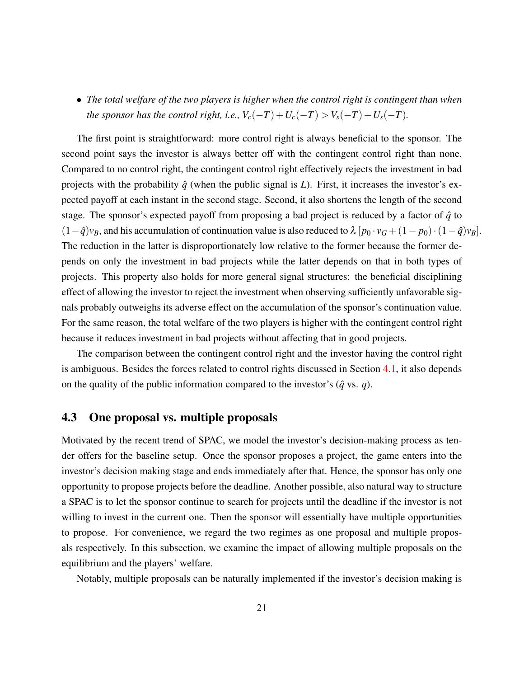• *The total welfare of the two players is higher when the control right is contingent than when the sponsor has the control right, i.e.,*  $V_c(-T) + U_c(-T) > V_s(-T) + U_s(-T)$ .

The first point is straightforward: more control right is always beneficial to the sponsor. The second point says the investor is always better off with the contingent control right than none. Compared to no control right, the contingent control right effectively rejects the investment in bad projects with the probability  $\hat{q}$  (when the public signal is *L*). First, it increases the investor's expected payoff at each instant in the second stage. Second, it also shortens the length of the second stage. The sponsor's expected payoff from proposing a bad project is reduced by a factor of  $\hat{q}$  to  $(1-\hat{q})v_B$ , and his accumulation of continuation value is also reduced to  $\lambda [p_0 \cdot v_G + (1-p_0) \cdot (1-\hat{q})v_B].$ The reduction in the latter is disproportionately low relative to the former because the former depends on only the investment in bad projects while the latter depends on that in both types of projects. This property also holds for more general signal structures: the beneficial disciplining effect of allowing the investor to reject the investment when observing sufficiently unfavorable signals probably outweighs its adverse effect on the accumulation of the sponsor's continuation value. For the same reason, the total welfare of the two players is higher with the contingent control right because it reduces investment in bad projects without affecting that in good projects.

The comparison between the contingent control right and the investor having the control right is ambiguous. Besides the forces related to control rights discussed in Section [4.1,](#page-17-1) it also depends on the quality of the public information compared to the investor's  $(\hat{q} \text{ vs. } q)$ .

### 4.3 One proposal vs. multiple proposals

Motivated by the recent trend of SPAC, we model the investor's decision-making process as tender offers for the baseline setup. Once the sponsor proposes a project, the game enters into the investor's decision making stage and ends immediately after that. Hence, the sponsor has only one opportunity to propose projects before the deadline. Another possible, also natural way to structure a SPAC is to let the sponsor continue to search for projects until the deadline if the investor is not willing to invest in the current one. Then the sponsor will essentially have multiple opportunities to propose. For convenience, we regard the two regimes as one proposal and multiple proposals respectively. In this subsection, we examine the impact of allowing multiple proposals on the equilibrium and the players' welfare.

Notably, multiple proposals can be naturally implemented if the investor's decision making is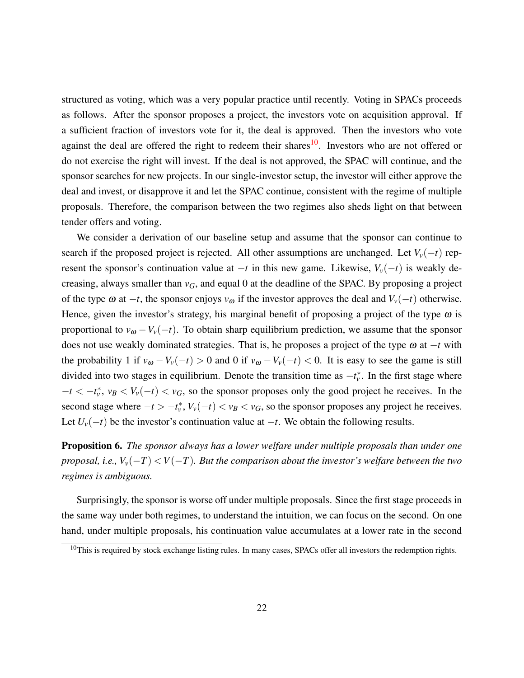structured as voting, which was a very popular practice until recently. Voting in SPACs proceeds as follows. After the sponsor proposes a project, the investors vote on acquisition approval. If a sufficient fraction of investors vote for it, the deal is approved. Then the investors who vote against the deal are offered the right to redeem their shares<sup>[10](#page-22-0)</sup>. Investors who are not offered or do not exercise the right will invest. If the deal is not approved, the SPAC will continue, and the sponsor searches for new projects. In our single-investor setup, the investor will either approve the deal and invest, or disapprove it and let the SPAC continue, consistent with the regime of multiple proposals. Therefore, the comparison between the two regimes also sheds light on that between tender offers and voting.

We consider a derivation of our baseline setup and assume that the sponsor can continue to search if the proposed project is rejected. All other assumptions are unchanged. Let  $V_v(-t)$  represent the sponsor's continuation value at  $-t$  in this new game. Likewise,  $V_v(-t)$  is weakly decreasing, always smaller than  $v_G$ , and equal 0 at the deadline of the SPAC. By proposing a project of the type  $\omega$  at  $-t$ , the sponsor enjoys  $v_{\omega}$  if the investor approves the deal and  $V_v(-t)$  otherwise. Hence, given the investor's strategy, his marginal benefit of proposing a project of the type  $\omega$  is proportional to  $v_{\omega} - V_v(-t)$ . To obtain sharp equilibrium prediction, we assume that the sponsor does not use weakly dominated strategies. That is, he proposes a project of the type ω at −*t* with the probability 1 if  $v_{\omega} - V_v(-t) > 0$  and 0 if  $v_{\omega} - V_v(-t) < 0$ . It is easy to see the game is still divided into two stages in equilibrium. Denote the transition time as  $-t_v^*$ . In the first stage where  $-t < -t_v^*$ ,  $v_B < V_v(-t) < v_G$ , so the sponsor proposes only the good project he receives. In the second stage where  $-t > -t_v^*$ ,  $V_v(-t) < v_B < v_G$ , so the sponsor proposes any project he receives. Let  $U_v(-t)$  be the investor's continuation value at  $-t$ . We obtain the following results.

<span id="page-22-1"></span>Proposition 6. *The sponsor always has a lower welfare under multiple proposals than under one proposal, i.e.,*  $V_v(-T) < V(-T)$ *. But the comparison about the investor's welfare between the two regimes is ambiguous.*

Surprisingly, the sponsor is worse off under multiple proposals. Since the first stage proceeds in the same way under both regimes, to understand the intuition, we can focus on the second. On one hand, under multiple proposals, his continuation value accumulates at a lower rate in the second

<span id="page-22-0"></span> $10$ This is required by stock exchange listing rules. In many cases, SPACs offer all investors the redemption rights.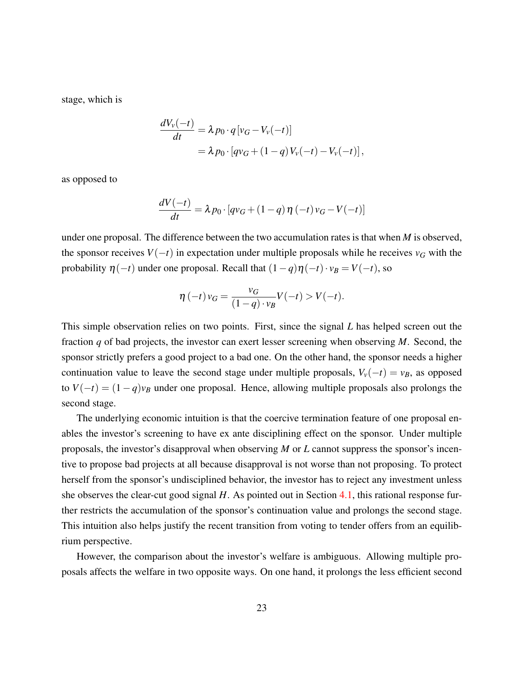stage, which is

$$
\frac{dV_v(-t)}{dt} = \lambda p_0 \cdot q [v_G - V_v(-t)]
$$
  
=  $\lambda p_0 \cdot [qv_G + (1-q)V_v(-t) - V_v(-t)],$ 

as opposed to

$$
\frac{dV(-t)}{dt} = \lambda p_0 \cdot [qv_G + (1-q)\eta(-t)v_G - V(-t)]
$$

under one proposal. The difference between the two accumulation rates is that when *M* is observed, the sponsor receives  $V(-t)$  in expectation under multiple proposals while he receives  $v_G$  with the probability  $\eta(-t)$  under one proposal. Recall that  $(1-q)\eta(-t) \cdot v_B = V(-t)$ , so

$$
\eta\left(-t\right)v_G = \frac{v_G}{(1-q)\cdot v_B}V(-t) > V(-t).
$$

This simple observation relies on two points. First, since the signal *L* has helped screen out the fraction *q* of bad projects, the investor can exert lesser screening when observing *M*. Second, the sponsor strictly prefers a good project to a bad one. On the other hand, the sponsor needs a higher continuation value to leave the second stage under multiple proposals,  $V_v(-t) = v_B$ , as opposed to  $V(-t) = (1-q)v_B$  under one proposal. Hence, allowing multiple proposals also prolongs the second stage.

The underlying economic intuition is that the coercive termination feature of one proposal enables the investor's screening to have ex ante disciplining effect on the sponsor. Under multiple proposals, the investor's disapproval when observing *M* or *L* cannot suppress the sponsor's incentive to propose bad projects at all because disapproval is not worse than not proposing. To protect herself from the sponsor's undisciplined behavior, the investor has to reject any investment unless she observes the clear-cut good signal *H*. As pointed out in Section [4.1,](#page-17-1) this rational response further restricts the accumulation of the sponsor's continuation value and prolongs the second stage. This intuition also helps justify the recent transition from voting to tender offers from an equilibrium perspective.

However, the comparison about the investor's welfare is ambiguous. Allowing multiple proposals affects the welfare in two opposite ways. On one hand, it prolongs the less efficient second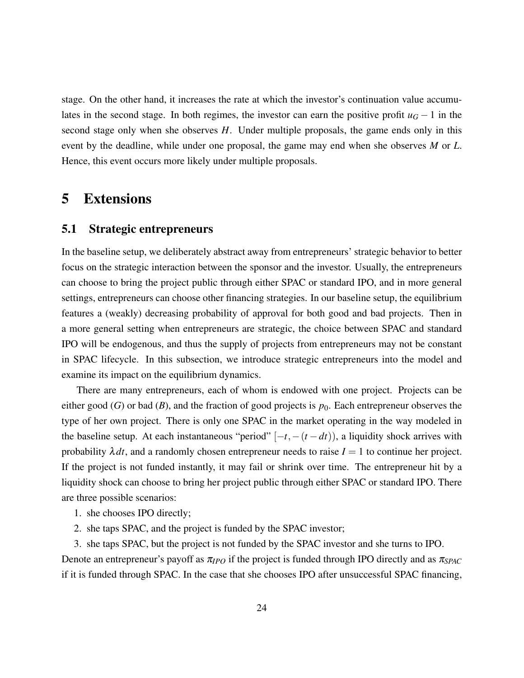stage. On the other hand, it increases the rate at which the investor's continuation value accumulates in the second stage. In both regimes, the investor can earn the positive profit  $u_G - 1$  in the second stage only when she observes *H*. Under multiple proposals, the game ends only in this event by the deadline, while under one proposal, the game may end when she observes *M* or *L*. Hence, this event occurs more likely under multiple proposals.

## 5 Extensions

#### <span id="page-24-0"></span>5.1 Strategic entrepreneurs

In the baseline setup, we deliberately abstract away from entrepreneurs' strategic behavior to better focus on the strategic interaction between the sponsor and the investor. Usually, the entrepreneurs can choose to bring the project public through either SPAC or standard IPO, and in more general settings, entrepreneurs can choose other financing strategies. In our baseline setup, the equilibrium features a (weakly) decreasing probability of approval for both good and bad projects. Then in a more general setting when entrepreneurs are strategic, the choice between SPAC and standard IPO will be endogenous, and thus the supply of projects from entrepreneurs may not be constant in SPAC lifecycle. In this subsection, we introduce strategic entrepreneurs into the model and examine its impact on the equilibrium dynamics.

There are many entrepreneurs, each of whom is endowed with one project. Projects can be either good (*G*) or bad (*B*), and the fraction of good projects is  $p_0$ . Each entrepreneur observes the type of her own project. There is only one SPAC in the market operating in the way modeled in the baseline setup. At each instantaneous "period"  $[-t, -(t - dt))$ , a liquidity shock arrives with probability  $\lambda dt$ , and a randomly chosen entrepreneur needs to raise  $I = 1$  to continue her project. If the project is not funded instantly, it may fail or shrink over time. The entrepreneur hit by a liquidity shock can choose to bring her project public through either SPAC or standard IPO. There are three possible scenarios:

- 1. she chooses IPO directly;
- 2. she taps SPAC, and the project is funded by the SPAC investor;
- 3. she taps SPAC, but the project is not funded by the SPAC investor and she turns to IPO.

Denote an entrepreneur's payoff as  $\pi_{IPO}$  if the project is funded through IPO directly and as  $\pi_{SPAC}$ if it is funded through SPAC. In the case that she chooses IPO after unsuccessful SPAC financing,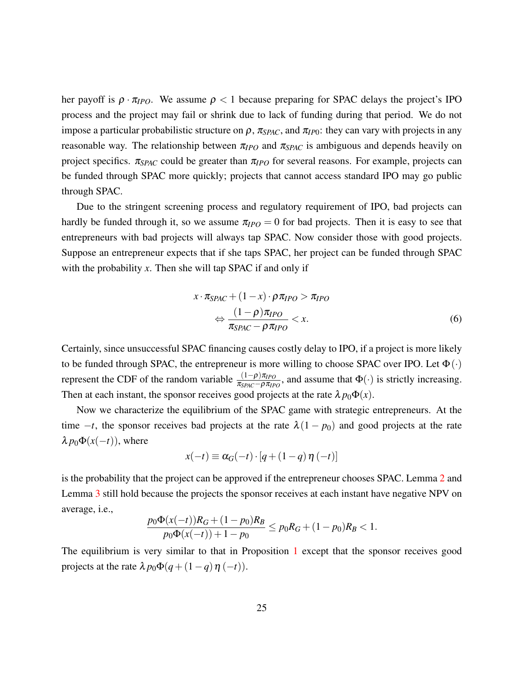her payoff is  $\rho \cdot \pi_{IPO}$ . We assume  $\rho < 1$  because preparing for SPAC delays the project's IPO process and the project may fail or shrink due to lack of funding during that period. We do not impose a particular probabilistic structure on  $\rho$ ,  $\pi_{SPAC}$ , and  $\pi_{IP0}$ : they can vary with projects in any reasonable way. The relationship between  $\pi_{IPO}$  and  $\pi_{SPAC}$  is ambiguous and depends heavily on project specifics. π*SPAC* could be greater than π*IPO* for several reasons. For example, projects can be funded through SPAC more quickly; projects that cannot access standard IPO may go public through SPAC.

Due to the stringent screening process and regulatory requirement of IPO, bad projects can hardly be funded through it, so we assume  $\pi_{IPO} = 0$  for bad projects. Then it is easy to see that entrepreneurs with bad projects will always tap SPAC. Now consider those with good projects. Suppose an entrepreneur expects that if she taps SPAC, her project can be funded through SPAC with the probability *x*. Then she will tap SPAC if and only if

$$
x \cdot \pi_{SPAC} + (1 - x) \cdot \rho \pi_{IPO} > \pi_{IPO}
$$
  
\n
$$
\Leftrightarrow \frac{(1 - \rho)\pi_{IPO}}{\pi_{SPAC} - \rho \pi_{IPO}} < x.
$$
 (6)

Certainly, since unsuccessful SPAC financing causes costly delay to IPO, if a project is more likely to be funded through SPAC, the entrepreneur is more willing to choose SPAC over IPO. Let  $\Phi(\cdot)$ represent the CDF of the random variable  $\frac{(1-\rho)\pi_{IPO}}{\pi_{SPAC}-\rho\pi_{IPO}}$ , and assume that Φ(⋅) is strictly increasing. Then at each instant, the sponsor receives good projects at the rate  $\lambda p_0 \Phi(x)$ .

Now we characterize the equilibrium of the SPAC game with strategic entrepreneurs. At the time  $-t$ , the sponsor receives bad projects at the rate  $\lambda(1 - p_0)$  and good projects at the rate  $\lambda p_0 \Phi(x(-t))$ , where

$$
x(-t) \equiv \alpha_G(-t) \cdot [q + (1-q)\eta(-t)]
$$

is the probability that the project can be approved if the entrepreneur chooses SPAC. Lemma [2](#page-12-1) and Lemma [3](#page-12-0) still hold because the projects the sponsor receives at each instant have negative NPV on average, i.e.,

$$
\frac{p_0\Phi(x(-t))R_G + (1-p_0)R_B}{p_0\Phi(x(-t)) + 1 - p_0} \le p_0R_G + (1-p_0)R_B < 1.
$$

The equilibrium is very similar to that in Proposition [1](#page-12-2) except that the sponsor receives good projects at the rate  $\lambda p_0 \Phi(q + (1-q)\eta(-t))$ .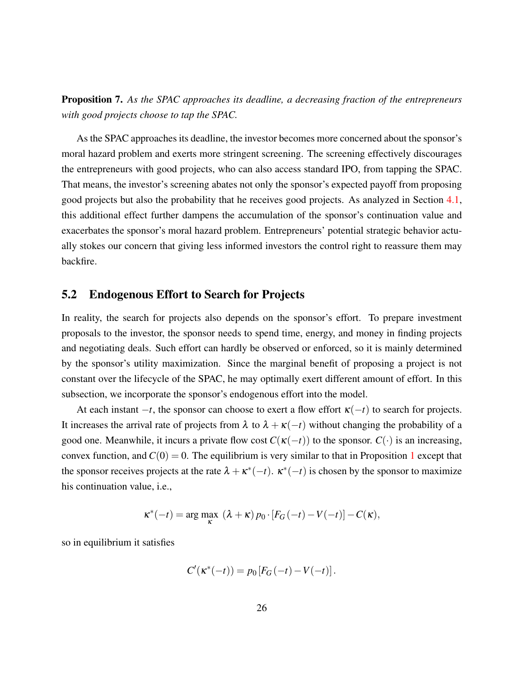Proposition 7. *As the SPAC approaches its deadline, a decreasing fraction of the entrepreneurs with good projects choose to tap the SPAC.*

As the SPAC approaches its deadline, the investor becomes more concerned about the sponsor's moral hazard problem and exerts more stringent screening. The screening effectively discourages the entrepreneurs with good projects, who can also access standard IPO, from tapping the SPAC. That means, the investor's screening abates not only the sponsor's expected payoff from proposing good projects but also the probability that he receives good projects. As analyzed in Section [4.1,](#page-17-1) this additional effect further dampens the accumulation of the sponsor's continuation value and exacerbates the sponsor's moral hazard problem. Entrepreneurs' potential strategic behavior actually stokes our concern that giving less informed investors the control right to reassure them may backfire.

#### 5.2 Endogenous Effort to Search for Projects

In reality, the search for projects also depends on the sponsor's effort. To prepare investment proposals to the investor, the sponsor needs to spend time, energy, and money in finding projects and negotiating deals. Such effort can hardly be observed or enforced, so it is mainly determined by the sponsor's utility maximization. Since the marginal benefit of proposing a project is not constant over the lifecycle of the SPAC, he may optimally exert different amount of effort. In this subsection, we incorporate the sponsor's endogenous effort into the model.

At each instant  $-t$ , the sponsor can choose to exert a flow effort  $\kappa(-t)$  to search for projects. It increases the arrival rate of projects from  $\lambda$  to  $\lambda + \kappa(-t)$  without changing the probability of a good one. Meanwhile, it incurs a private flow cost  $C(\kappa(-t))$  to the sponsor.  $C(\cdot)$  is an increasing, convex function, and  $C(0) = 0$ . The equilibrium is very similar to that in Proposition [1](#page-12-2) except that the sponsor receives projects at the rate  $\lambda + \kappa^*(-t)$ .  $\kappa^*(-t)$  is chosen by the sponsor to maximize his continuation value, i.e.,

$$
\kappa^*(-t) = \arg\max_{\kappa} (\lambda + \kappa) p_0 \cdot [F_G(-t) - V(-t)] - C(\kappa),
$$

so in equilibrium it satisfies

$$
C'(\kappa^*(-t)) = p_0[F_G(-t) - V(-t)].
$$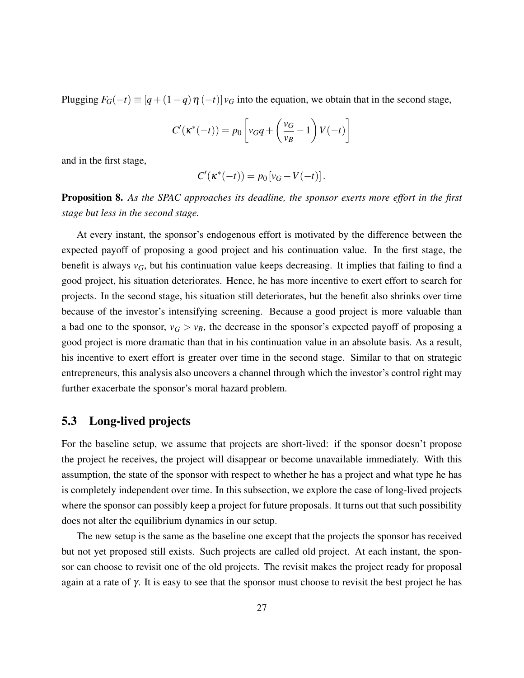Plugging  $F_G(-t) \equiv [q + (1 - q) \eta(-t)] v_G$  into the equation, we obtain that in the second stage,

$$
C'(\kappa^*(-t)) = p_0 \left[ v_G q + \left( \frac{v_G}{v_B} - 1 \right) V(-t) \right]
$$

and in the first stage,

$$
C'(\kappa^*(-t)) = p_0[v_G - V(-t)].
$$

Proposition 8. *As the SPAC approaches its deadline, the sponsor exerts more effort in the first stage but less in the second stage.*

At every instant, the sponsor's endogenous effort is motivated by the difference between the expected payoff of proposing a good project and his continuation value. In the first stage, the benefit is always  $v_G$ , but his continuation value keeps decreasing. It implies that failing to find a good project, his situation deteriorates. Hence, he has more incentive to exert effort to search for projects. In the second stage, his situation still deteriorates, but the benefit also shrinks over time because of the investor's intensifying screening. Because a good project is more valuable than a bad one to the sponsor,  $v_G > v_B$ , the decrease in the sponsor's expected payoff of proposing a good project is more dramatic than that in his continuation value in an absolute basis. As a result, his incentive to exert effort is greater over time in the second stage. Similar to that on strategic entrepreneurs, this analysis also uncovers a channel through which the investor's control right may further exacerbate the sponsor's moral hazard problem.

### <span id="page-27-0"></span>5.3 Long-lived projects

For the baseline setup, we assume that projects are short-lived: if the sponsor doesn't propose the project he receives, the project will disappear or become unavailable immediately. With this assumption, the state of the sponsor with respect to whether he has a project and what type he has is completely independent over time. In this subsection, we explore the case of long-lived projects where the sponsor can possibly keep a project for future proposals. It turns out that such possibility does not alter the equilibrium dynamics in our setup.

The new setup is the same as the baseline one except that the projects the sponsor has received but not yet proposed still exists. Such projects are called old project. At each instant, the sponsor can choose to revisit one of the old projects. The revisit makes the project ready for proposal again at a rate of  $\gamma$ . It is easy to see that the sponsor must choose to revisit the best project he has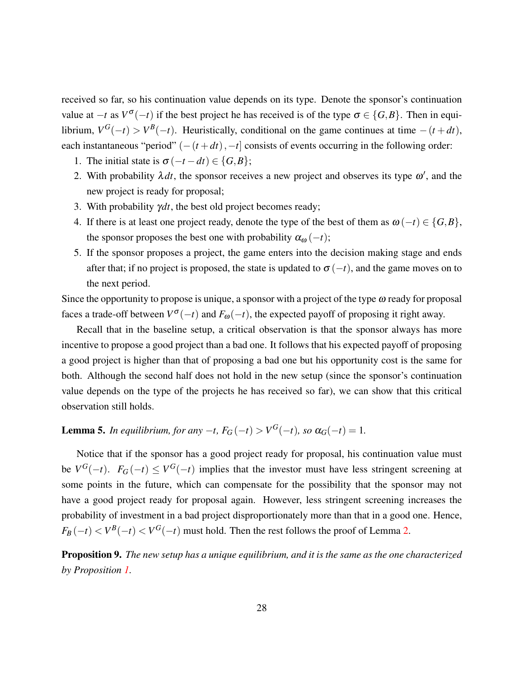received so far, so his continuation value depends on its type. Denote the sponsor's continuation value at  $-t$  as  $V^{\sigma}(-t)$  if the best project he has received is of the type  $\sigma \in \{G, B\}$ . Then in equilibrium,  $V^G(-t) > V^B(-t)$ . Heuristically, conditional on the game continues at time  $-(t+dt)$ , each instantaneous "period"  $(-(t+dt), -t]$  consists of events occurring in the following order:

- 1. The initial state is  $\sigma(-t dt) \in \{G, B\};$
- 2. With probability  $\lambda dt$ , the sponsor receives a new project and observes its type  $\omega'$ , and the new project is ready for proposal;
- 3. With probability γ*dt*, the best old project becomes ready;
- 4. If there is at least one project ready, denote the type of the best of them as  $\omega(-t) \in \{G, B\}$ , the sponsor proposes the best one with probability  $\alpha_{\omega}(-t)$ ;
- 5. If the sponsor proposes a project, the game enters into the decision making stage and ends after that; if no project is proposed, the state is updated to  $\sigma(-t)$ , and the game moves on to the next period.

Since the opportunity to propose is unique, a sponsor with a project of the type  $\omega$  ready for proposal faces a trade-off between  $V^{\sigma}(-t)$  and  $F_{\omega}(-t)$ , the expected payoff of proposing it right away.

Recall that in the baseline setup, a critical observation is that the sponsor always has more incentive to propose a good project than a bad one. It follows that his expected payoff of proposing a good project is higher than that of proposing a bad one but his opportunity cost is the same for both. Although the second half does not hold in the new setup (since the sponsor's continuation value depends on the type of the projects he has received so far), we can show that this critical observation still holds.

<span id="page-28-0"></span>**Lemma 5.** *In equilibrium, for any*  $-t$ ,  $F_G(-t) > V^G(-t)$ , so  $\alpha_G(-t) = 1$ .

Notice that if the sponsor has a good project ready for proposal, his continuation value must be  $V^G(-t)$ .  $F_G(-t) \le V^G(-t)$  implies that the investor must have less stringent screening at some points in the future, which can compensate for the possibility that the sponsor may not have a good project ready for proposal again. However, less stringent screening increases the probability of investment in a bad project disproportionately more than that in a good one. Hence,  $F_B(-t) < V^B(-t) < V^G(-t)$  must hold. Then the rest follows the proof of Lemma [2.](#page-12-1)

<span id="page-28-1"></span>Proposition 9. *The new setup has a unique equilibrium, and it is the same as the one characterized by Proposition [1.](#page-12-2)*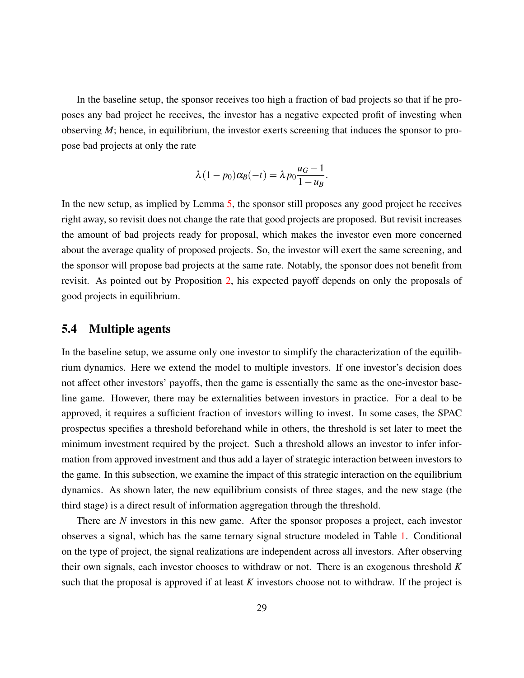In the baseline setup, the sponsor receives too high a fraction of bad projects so that if he proposes any bad project he receives, the investor has a negative expected profit of investing when observing *M*; hence, in equilibrium, the investor exerts screening that induces the sponsor to propose bad projects at only the rate

$$
\lambda(1-p_0)\alpha_B(-t) = \lambda p_0 \frac{u_G-1}{1-u_B}.
$$

In the new setup, as implied by Lemma [5,](#page-28-0) the sponsor still proposes any good project he receives right away, so revisit does not change the rate that good projects are proposed. But revisit increases the amount of bad projects ready for proposal, which makes the investor even more concerned about the average quality of proposed projects. So, the investor will exert the same screening, and the sponsor will propose bad projects at the same rate. Notably, the sponsor does not benefit from revisit. As pointed out by Proposition [2,](#page-14-0) his expected payoff depends on only the proposals of good projects in equilibrium.

### 5.4 Multiple agents

In the baseline setup, we assume only one investor to simplify the characterization of the equilibrium dynamics. Here we extend the model to multiple investors. If one investor's decision does not affect other investors' payoffs, then the game is essentially the same as the one-investor baseline game. However, there may be externalities between investors in practice. For a deal to be approved, it requires a sufficient fraction of investors willing to invest. In some cases, the SPAC prospectus specifies a threshold beforehand while in others, the threshold is set later to meet the minimum investment required by the project. Such a threshold allows an investor to infer information from approved investment and thus add a layer of strategic interaction between investors to the game. In this subsection, we examine the impact of this strategic interaction on the equilibrium dynamics. As shown later, the new equilibrium consists of three stages, and the new stage (the third stage) is a direct result of information aggregation through the threshold.

There are *N* investors in this new game. After the sponsor proposes a project, each investor observes a signal, which has the same ternary signal structure modeled in Table [1.](#page-8-0) Conditional on the type of project, the signal realizations are independent across all investors. After observing their own signals, each investor chooses to withdraw or not. There is an exogenous threshold *K* such that the proposal is approved if at least *K* investors choose not to withdraw. If the project is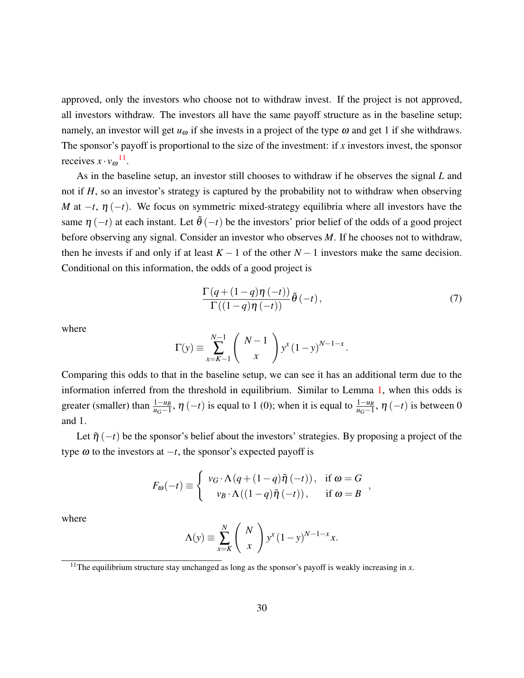approved, only the investors who choose not to withdraw invest. If the project is not approved, all investors withdraw. The investors all have the same payoff structure as in the baseline setup; namely, an investor will get  $u_{\omega}$  if she invests in a project of the type  $\omega$  and get 1 if she withdraws. The sponsor's payoff is proportional to the size of the investment: if *x* investors invest, the sponsor receives  $x \cdot v_{\omega}^{11}$  $x \cdot v_{\omega}^{11}$  $x \cdot v_{\omega}^{11}$ .

As in the baseline setup, an investor still chooses to withdraw if he observes the signal *L* and not if *H*, so an investor's strategy is captured by the probability not to withdraw when observing *M* at  $-t$ ,  $\eta$  ( $-t$ ). We focus on symmetric mixed-strategy equilibria where all investors have the same  $\eta$  (−*t*) at each instant. Let  $\tilde{\theta}$  (−*t*) be the investors' prior belief of the odds of a good project before observing any signal. Consider an investor who observes *M*. If he chooses not to withdraw, then he invests if and only if at least  $K - 1$  of the other  $N - 1$  investors make the same decision. Conditional on this information, the odds of a good project is

<span id="page-30-1"></span>
$$
\frac{\Gamma(q+(1-q)\eta(-t))}{\Gamma((1-q)\eta(-t))}\tilde{\theta}(-t),\qquad(7)
$$

where

$$
\Gamma(y) \equiv \sum_{x=K-1}^{N-1} \binom{N-1}{x} y^x (1-y)^{N-1-x}.
$$

Comparing this odds to that in the baseline setup, we can see it has an additional term due to the information inferred from the threshold in equilibrium. Similar to Lemma [1,](#page-11-0) when this odds is greater (smaller) than  $\frac{1-u_B}{u_G-1}$ ,  $\eta$  (-*t*) is equal to 1 (0); when it is equal to  $\frac{1-u_B}{u_G-1}$ ,  $\eta$  (-*t*) is between 0 and 1.

Let  $\tilde{\eta}(-t)$  be the sponsor's belief about the investors' strategies. By proposing a project of the type  $\omega$  to the investors at  $-t$ , the sponsor's expected payoff is

$$
F_{\omega}(-t) \equiv \begin{cases} v_G \cdot \Lambda (q + (1-q)\tilde{\eta}(-t)), & \text{if } \omega = G \\ v_B \cdot \Lambda ((1-q)\tilde{\eta}(-t)), & \text{if } \omega = B \end{cases}
$$

where

$$
\Lambda(y) \equiv \sum_{x=K}^{N} \binom{N}{x} y^x (1-y)^{N-1-x} x.
$$

<span id="page-30-0"></span><sup>&</sup>lt;sup>11</sup>The equilibrium structure stay unchanged as long as the sponsor's payoff is weakly increasing in  $x$ .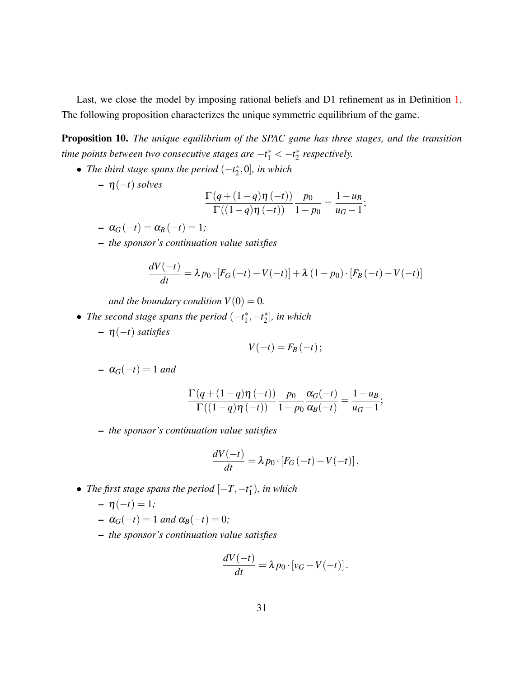Last, we close the model by imposing rational beliefs and D1 refinement as in Definition [1.](#page-10-1) The following proposition characterizes the unique symmetric equilibrium of the game.

<span id="page-31-0"></span>Proposition 10. *The unique equilibrium of the SPAC game has three stages, and the transition time points between two consecutive stages are*  $-t_1^* < -t_2^*$ 2 *respectively.*

• *The third stage spans the period*  $(-t_2^*)$  $_{2}^{*}$ ,0], in which

$$
- \eta(-t) \, \text{solves} \qquad \qquad \Gamma(a)
$$

$$
\frac{\Gamma(q+(1-q)\eta(-t))}{\Gamma((1-q)\eta(-t))}\frac{p_0}{1-p_0}=\frac{1-u_B}{u_G-1};
$$

- $-\alpha_G(-t) = \alpha_B(-t) = 1;$
- *the sponsor's continuation value satisfies*

$$
\frac{dV(-t)}{dt} = \lambda p_0 \cdot [F_G(-t) - V(-t)] + \lambda (1 - p_0) \cdot [F_B(-t) - V(-t)]
$$

*and the boundary condition*  $V(0) = 0$ *.* 

- *The second stage spans the period*  $(-t_1^*)$  $t_1^*, -t_2^*$ 2 ]*, in which*
	- η(−*t*) *satisfies*

$$
V(-t)=F_B(-t);
$$

$$
- \alpha_G(-t) = 1 \text{ and}
$$

$$
\frac{\Gamma(q+(1-q)\eta(-t))}{\Gamma((1-q)\eta(-t))}\frac{p_0}{1-p_0}\frac{\alpha_G(-t)}{\alpha_B(-t)}=\frac{1-u_B}{u_G-1};
$$

– *the sponsor's continuation value satisfies*

$$
\frac{dV(-t)}{dt} = \lambda p_0 \cdot [F_G(-t) - V(-t)].
$$

• *The first stage spans the period*  $[-T, -t^*]<sub>1</sub>$  $\binom{*}{1}$ *, in which* 

$$
- \eta(-t) = 1;
$$

- $-\alpha_G(-t) = 1$  *and*  $\alpha_B(-t) = 0$ ;
- *the sponsor's continuation value satisfies*

$$
\frac{dV(-t)}{dt} = \lambda p_0 \cdot [v_G - V(-t)].
$$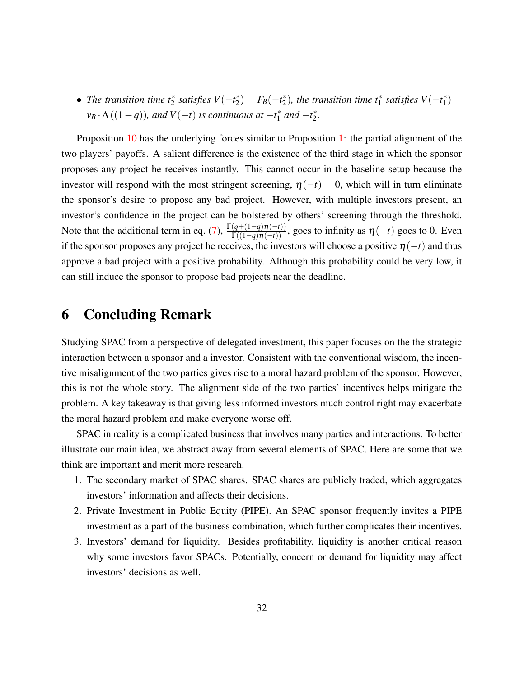• *The transition time*  $t_2^*$  *satisfies*  $V(-t_2^*)$  $F_B^*(-t_2^*)$  $\chi^*$ ), the transition time  $t_1^*$  satisfies  $V(-t_1^*)$  $j_{1}^{*}) =$  $v_B \cdot \Lambda((1-q))$ *, and*  $V(-t)$  *is continuous at*  $-t_1^*$  $^{*}_{1}$  and  $-t_{2}^{*}$ 2 *.*

Proposition [10](#page-31-0) has the underlying forces similar to Proposition [1:](#page-12-2) the partial alignment of the two players' payoffs. A salient difference is the existence of the third stage in which the sponsor proposes any project he receives instantly. This cannot occur in the baseline setup because the investor will respond with the most stringent screening,  $\eta(-t) = 0$ , which will in turn eliminate the sponsor's desire to propose any bad project. However, with multiple investors present, an investor's confidence in the project can be bolstered by others' screening through the threshold. Note that the additional term in eq. [\(7\)](#page-30-1),  $\frac{\Gamma(q+(1-q)\eta(-t))}{\Gamma((1-q)\eta(-t))}$ , goes to infinity as  $\eta(-t)$  goes to 0. Even if the sponsor proposes any project he receives, the investors will choose a positive  $\eta(-t)$  and thus approve a bad project with a positive probability. Although this probability could be very low, it can still induce the sponsor to propose bad projects near the deadline.

### 6 Concluding Remark

Studying SPAC from a perspective of delegated investment, this paper focuses on the the strategic interaction between a sponsor and a investor. Consistent with the conventional wisdom, the incentive misalignment of the two parties gives rise to a moral hazard problem of the sponsor. However, this is not the whole story. The alignment side of the two parties' incentives helps mitigate the problem. A key takeaway is that giving less informed investors much control right may exacerbate the moral hazard problem and make everyone worse off.

SPAC in reality is a complicated business that involves many parties and interactions. To better illustrate our main idea, we abstract away from several elements of SPAC. Here are some that we think are important and merit more research.

- 1. The secondary market of SPAC shares. SPAC shares are publicly traded, which aggregates investors' information and affects their decisions.
- 2. Private Investment in Public Equity (PIPE). An SPAC sponsor frequently invites a PIPE investment as a part of the business combination, which further complicates their incentives.
- 3. Investors' demand for liquidity. Besides profitability, liquidity is another critical reason why some investors favor SPACs. Potentially, concern or demand for liquidity may affect investors' decisions as well.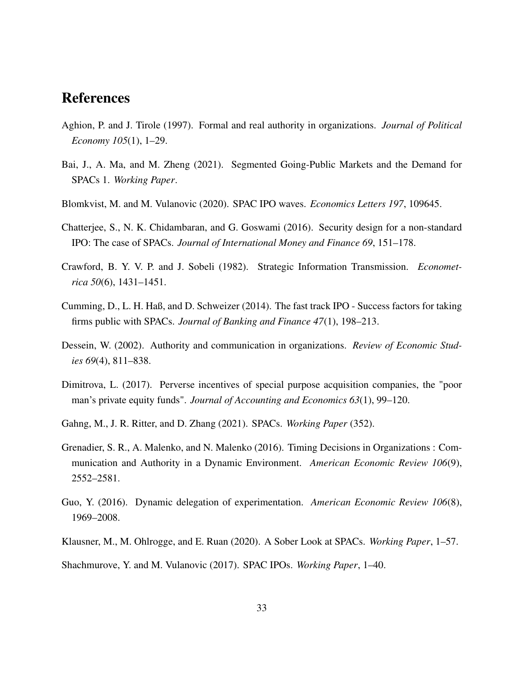## References

- <span id="page-33-8"></span>Aghion, P. and J. Tirole (1997). Formal and real authority in organizations. *Journal of Political Economy 105*(1), 1–29.
- <span id="page-33-5"></span>Bai, J., A. Ma, and M. Zheng (2021). Segmented Going-Public Markets and the Demand for SPACs 1. *Working Paper*.
- <span id="page-33-4"></span>Blomkvist, M. and M. Vulanovic (2020). SPAC IPO waves. *Economics Letters 197*, 109645.
- <span id="page-33-6"></span>Chatterjee, S., N. K. Chidambaran, and G. Goswami (2016). Security design for a non-standard IPO: The case of SPACs. *Journal of International Money and Finance 69*, 151–178.
- <span id="page-33-7"></span>Crawford, B. Y. V. P. and J. Sobeli (1982). Strategic Information Transmission. *Econometrica 50*(6), 1431–1451.
- <span id="page-33-2"></span>Cumming, D., L. H. Haß, and D. Schweizer (2014). The fast track IPO - Success factors for taking firms public with SPACs. *Journal of Banking and Finance 47*(1), 198–213.
- <span id="page-33-9"></span>Dessein, W. (2002). Authority and communication in organizations. *Review of Economic Studies 69*(4), 811–838.
- <span id="page-33-1"></span>Dimitrova, L. (2017). Perverse incentives of special purpose acquisition companies, the "poor man's private equity funds". *Journal of Accounting and Economics 63*(1), 99–120.
- <span id="page-33-0"></span>Gahng, M., J. R. Ritter, and D. Zhang (2021). SPACs. *Working Paper* (352).
- <span id="page-33-10"></span>Grenadier, S. R., A. Malenko, and N. Malenko (2016). Timing Decisions in Organizations : Communication and Authority in a Dynamic Environment. *American Economic Review 106*(9), 2552–2581.
- <span id="page-33-11"></span>Guo, Y. (2016). Dynamic delegation of experimentation. *American Economic Review 106*(8), 1969–2008.
- <span id="page-33-3"></span>Klausner, M., M. Ohlrogge, and E. Ruan (2020). A Sober Look at SPACs. *Working Paper*, 1–57.

<span id="page-33-12"></span>Shachmurove, Y. and M. Vulanovic (2017). SPAC IPOs. *Working Paper*, 1–40.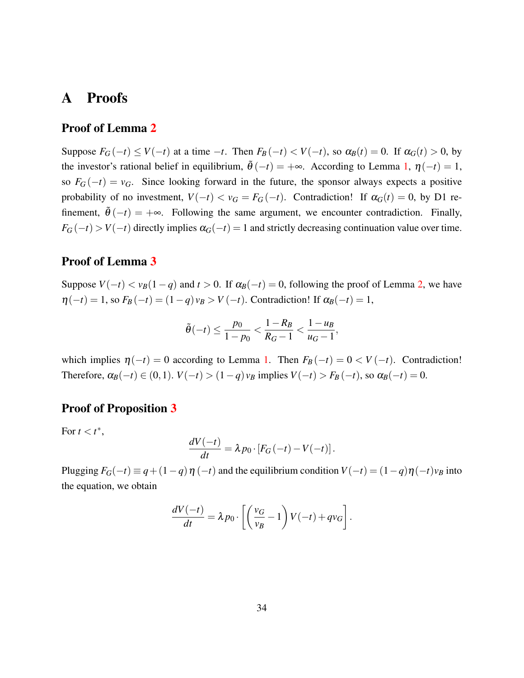## A Proofs

### Proof of Lemma [2](#page-12-1)

Suppose  $F_G(-t) \le V(-t)$  at a time  $-t$ . Then  $F_B(-t) < V(-t)$ , so  $\alpha_B(t) = 0$ . If  $\alpha_G(t) > 0$ , by the investor's rational belief in equilibrium,  $\tilde{\theta}(-t) = +\infty$ . According to Lemma [1,](#page-11-0)  $\eta(-t) = 1$ , so  $F_G(-t) = v_G$ . Since looking forward in the future, the sponsor always expects a positive probability of no investment,  $V(-t) < v_G = F_G(-t)$ . Contradiction! If  $\alpha_G(t) = 0$ , by D1 refinement,  $\theta(-t) = +\infty$ . Following the same argument, we encounter contradiction. Finally,  $F_G(-t)$  > *V*(−*t*) directly implies  $\alpha$ <sup>*G*</sup>(−*t*) = 1 and strictly decreasing continuation value over time.

### Proof of Lemma [3](#page-12-0)

Suppose  $V(-t) < v_B(1-q)$  and  $t > 0$ . If  $\alpha_B(-t) = 0$ , following the proof of Lemma [2,](#page-12-1) we have  $\eta(-t) = 1$ , so  $F_B(-t) = (1 - q) v_B > V(-t)$ . Contradiction! If  $\alpha_B(-t) = 1$ ,

$$
\tilde{\theta}(-t) \le \frac{p_0}{1-p_0} < \frac{1-R_B}{R_G - 1} < \frac{1 - u_B}{u_G - 1},
$$

which implies  $\eta(-t) = 0$  according to Lemma [1.](#page-11-0) Then  $F_B(-t) = 0 < V(-t)$ . Contradiction! Therefore,  $\alpha_B(-t) \in (0,1)$ .  $V(-t) > (1-q)v_B$  implies  $V(-t) > F_B(-t)$ , so  $\alpha_B(-t) = 0$ .

### Proof of Proposition [3](#page-15-2)

For  $t < t^*$ ,

$$
\frac{dV(-t)}{dt} = \lambda p_0 \cdot [F_G(-t) - V(-t)].
$$

Plugging  $F_G(-t) \equiv q + (1-q)\eta(-t)$  and the equilibrium condition  $V(-t) = (1-q)\eta(-t)v_B$  into the equation, we obtain

$$
\frac{dV(-t)}{dt} = \lambda p_0 \cdot \left[ \left( \frac{v_G}{v_B} - 1 \right) V(-t) + qv_G \right].
$$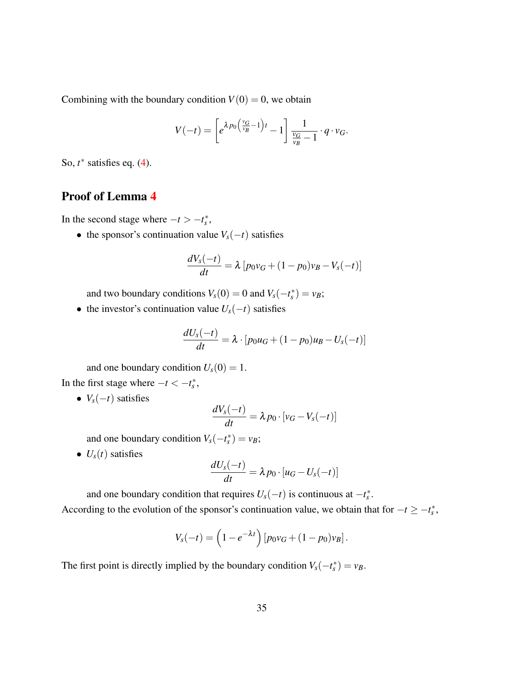Combining with the boundary condition  $V(0) = 0$ , we obtain

$$
V(-t) = \left[e^{\lambda p_0 \left(\frac{v_G}{v_B} - 1\right)t} - 1\right] \frac{1}{\frac{v_G}{v_B} - 1} \cdot q \cdot v_G.
$$

So, *t* ∗ satisfies eq. [\(4\)](#page-15-0).

### Proof of Lemma [4](#page-17-0)

In the second stage where  $-t > -t_s^*$ ,

• the sponsor's continuation value  $V_s(-t)$  satisfies

$$
\frac{dV_s(-t)}{dt} = \lambda \left[ p_0 v_G + (1 - p_0)v_B - V_s(-t) \right]
$$

and two boundary conditions  $V_s(0) = 0$  and  $V_s(-t_s^*) = v_B$ ;

• the investor's continuation value  $U_s(-t)$  satisfies

$$
\frac{dU_s(-t)}{dt} = \lambda \cdot [p_0 u_G + (1 - p_0) u_B - U_s(-t)]
$$

and one boundary condition  $U_s(0) = 1$ . In the first stage where  $-t < -t_s^*$ ,

•  $V_s(-t)$  satisfies

$$
\frac{dV_s(-t)}{dt} = \lambda p_0 \cdot [v_G - V_s(-t)]
$$

and one boundary condition  $V_s(-t_s^*) = v_B$ ;

•  $U_s(t)$  satisfies

$$
\frac{dU_s(-t)}{dt} = \lambda p_0 \cdot [u_G - U_s(-t)]
$$

and one boundary condition that requires  $U_s(-t)$  is continuous at  $-t_s^*$ . According to the evolution of the sponsor's continuation value, we obtain that for  $-t \geq -t_s^*$ ,

$$
V_s(-t) = \left(1 - e^{-\lambda t}\right) [p_0 v_G + (1 - p_0)v_B].
$$

The first point is directly implied by the boundary condition  $V_s(-t_s^*) = v_B$ .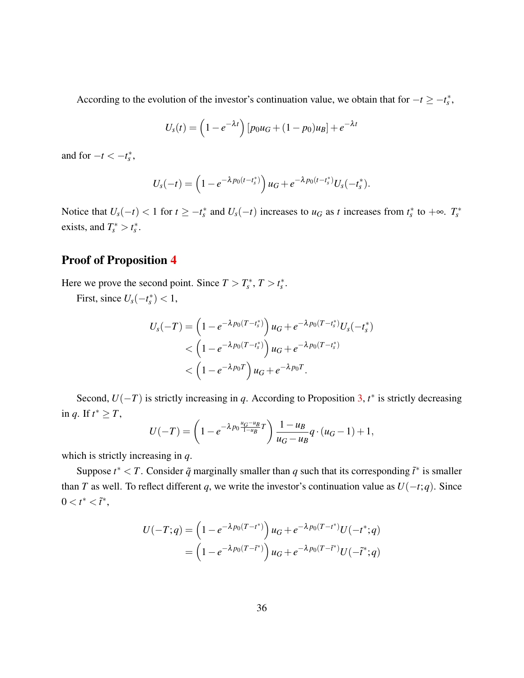According to the evolution of the investor's continuation value, we obtain that for  $-t \geq -t_s^*$ ,

$$
U_s(t) = \left(1 - e^{-\lambda t}\right) [p_0 u_G + (1 - p_0) u_B] + e^{-\lambda t}
$$

and for  $-t < -t_s^*$ ,

$$
U_s(-t) = \left(1 - e^{-\lambda p_0(t - t_s^*)}\right)u_G + e^{-\lambda p_0(t - t_s^*)}U_s(-t_s^*).
$$

Notice that  $U_s(-t) < 1$  for  $t \ge -t_s^*$  and  $U_s(-t)$  increases to  $u_G$  as  $t$  increases from  $t_s^*$  to  $+\infty$ .  $T_s^*$ exists, and  $T_s^* > t_s^*$ .

### Proof of Proposition [4](#page-18-0)

Here we prove the second point. Since  $T > T_s^*$ ,  $T > t_s^*$ .

First, since  $U_s(-t_s^*) < 1$ ,

$$
U_{S}(-T) = \left(1 - e^{-\lambda p_{0}(T - t_{S}^{*})}\right)u_{G} + e^{-\lambda p_{0}(T - t_{S}^{*})}U_{S}(-t_{S}^{*})
$$
  
< 
$$
< \left(1 - e^{-\lambda p_{0}(T - t_{S}^{*})}\right)u_{G} + e^{-\lambda p_{0}(T - t_{S}^{*})}
$$
  
< 
$$
< \left(1 - e^{-\lambda p_{0}T}\right)u_{G} + e^{-\lambda p_{0}T}.
$$

Second,  $U(-T)$  is strictly increasing in *q*. According to Proposition [3,](#page-15-2)  $t^*$  is strictly decreasing in *q*. If  $t^* \geq T$ ,

$$
U(-T) = \left(1 - e^{-\lambda p_0 \frac{u_G - u_B}{1 - u_B}T}\right) \frac{1 - u_B}{u_G - u_B} q \cdot (u_G - 1) + 1,
$$

which is strictly increasing in *q*.

Suppose  $t^* < T$ . Consider  $\tilde{q}$  marginally smaller than  $q$  such that its corresponding  $\tilde{t}^*$  is smaller than *T* as well. To reflect different *q*, we write the investor's continuation value as  $U(-t; q)$ . Since  $0 < t^* < \tilde{t}^*,$ 

$$
U(-T;q) = \left(1 - e^{-\lambda p_0(T-t^*)}\right)u_G + e^{-\lambda p_0(T-t^*)}U(-t^*;q)
$$
  
= 
$$
\left(1 - e^{-\lambda p_0(T-t^*)}\right)u_G + e^{-\lambda p_0(T-t^*)}U(-\tilde{t}^*;q)
$$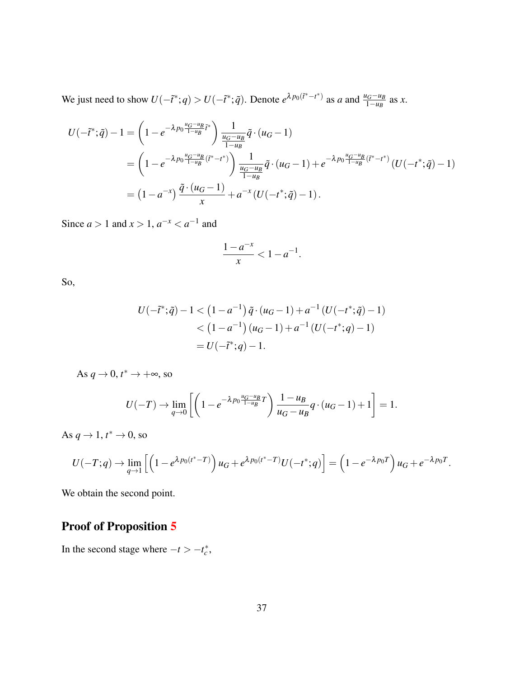We just need to show  $U(-\tilde{t}^*; q) > U(-\tilde{t}^*; \tilde{q})$ . Denote  $e^{\lambda p_0(\tilde{t}^* - t^*)}$  as a and  $\frac{u_G - u_B}{1 - u_B}$  as x.

$$
U(-\tilde{t}^*; \tilde{q}) - 1 = \left(1 - e^{-\lambda p_0 \frac{u_G - u_B}{1 - u_B} \tilde{t}^*}\right) \frac{1}{\frac{u_G - u_B}{1 - u_B}} \tilde{q} \cdot (u_G - 1)
$$
  
=  $\left(1 - e^{-\lambda p_0 \frac{u_G - u_B}{1 - u_B} (\tilde{t}^* - t^*)}\right) \frac{1}{\frac{u_G - u_B}{1 - u_B}} \tilde{q} \cdot (u_G - 1) + e^{-\lambda p_0 \frac{u_G - u_B}{1 - u_B} (\tilde{t}^* - t^*)} (U(-t^*; \tilde{q}) - 1)$   
=  $\left(1 - a^{-x}\right) \frac{\tilde{q} \cdot (u_G - 1)}{x} + a^{-x} (U(-t^*; \tilde{q}) - 1).$ 

Since  $a > 1$  and  $x > 1$ ,  $a^{-x} < a^{-1}$  and

$$
\frac{1-a^{-x}}{x} < 1 - a^{-1}.
$$

So,

$$
U(-\tilde{t}^*; \tilde{q}) - 1 < (1 - a^{-1}) \tilde{q} \cdot (u_G - 1) + a^{-1} (U(-t^*; \tilde{q}) - 1)
$$
  

$$
< (1 - a^{-1}) (u_G - 1) + a^{-1} (U(-t^*; q) - 1)
$$
  

$$
= U(-\tilde{t}^*; q) - 1.
$$

As  $q \to 0$ ,  $t^* \to +\infty$ , so

$$
U(-T) \to \lim_{q \to 0} \left[ \left( 1 - e^{-\lambda p_0 \frac{u_G - u_B}{1 - u_B} T} \right) \frac{1 - u_B}{u_G - u_B} q \cdot (u_G - 1) + 1 \right] = 1.
$$

As  $q \to 1$ ,  $t^* \to 0$ , so

$$
U(-T;q) \to \lim_{q \to 1} \left[ \left( 1 - e^{\lambda p_0(t^* - T)} \right) u_G + e^{\lambda p_0(t^* - T)} U(-t^*;q) \right] = \left( 1 - e^{-\lambda p_0 T} \right) u_G + e^{-\lambda p_0 T}.
$$

We obtain the second point.

### Proof of Proposition [5](#page-20-1)

In the second stage where  $-t > -t_c^*$ ,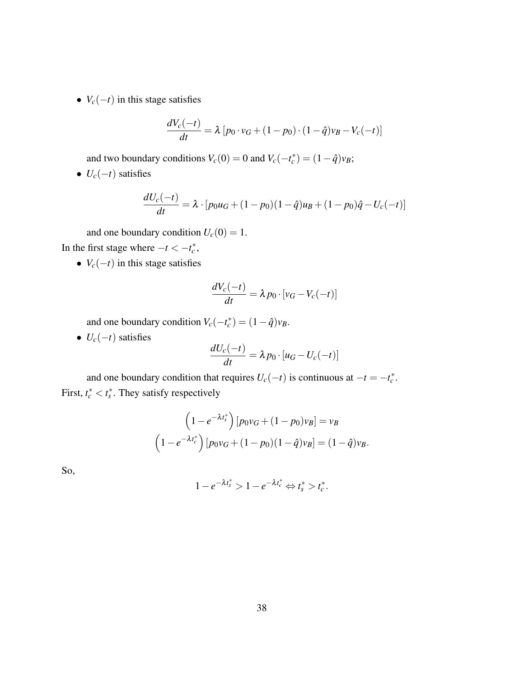•  $V_c(-t)$  in this stage satisfies

$$
\frac{dV_c(-t)}{dt} = \lambda [p_0 \cdot v_G + (1 - p_0) \cdot (1 - \hat{q})v_B - V_c(-t)]
$$

and two boundary conditions  $V_c(0) = 0$  and  $V_c(-t_c^*) = (1 - \hat{q})v_B$ ;

•  $U_c(-t)$  satisfies

$$
\frac{dU_c(-t)}{dt} = \lambda \cdot [p_0 u_G + (1 - p_0)(1 - \hat{q})u_B + (1 - p_0)\hat{q} - U_c(-t)]
$$

and one boundary condition  $U_c(0) = 1$ .

In the first stage where  $-t < -t_c^*$ ,

•  $V_c(-t)$  in this stage satisfies

$$
\frac{dV_c(-t)}{dt} = \lambda p_0 \cdot [v_G - V_c(-t)]
$$

and one boundary condition  $V_c(-t_c^*) = (1 - \hat{q})v_B$ .

•  $U_c(-t)$  satisfies

$$
\frac{dU_c(-t)}{dt} = \lambda p_0 \cdot [u_G - U_c(-t)]
$$

and one boundary condition that requires  $U_c(-t)$  is continuous at  $-t = -t_c^*$ . First,  $t_c^* < t_s^*$ . They satisfy respectively

$$
\left(1 - e^{-\lambda t_s^*}\right) [p_0 v_G + (1 - p_0)v_B] = v_B
$$

$$
\left(1 - e^{-\lambda t_c^*}\right) [p_0 v_G + (1 - p_0)(1 - \hat{q})v_B] = (1 - \hat{q})v_B.
$$

So,

$$
1-e^{-\lambda t_s^*}>1-e^{-\lambda t_c^*}\Leftrightarrow t_s^*>t_c^*.
$$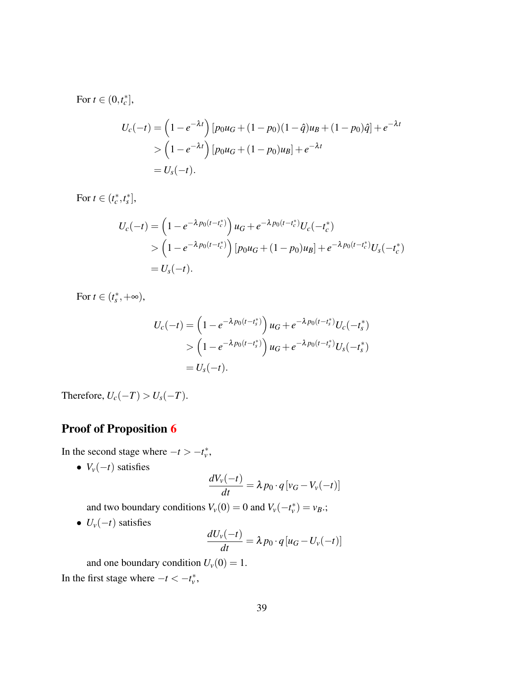For  $t \in (0, t_c^*],$ 

$$
U_c(-t) = \left(1 - e^{-\lambda t}\right) \left[p_0 u_G + (1 - p_0)(1 - \hat{q})u_B + (1 - p_0)\hat{q}\right] + e^{-\lambda t}
$$
  
> 
$$
\left(1 - e^{-\lambda t}\right) \left[p_0 u_G + (1 - p_0)u_B\right] + e^{-\lambda t}
$$
  
=  $U_s(-t)$ .

For  $t \in (t_c^*, t_s^*],$ 

$$
U_c(-t) = \left(1 - e^{-\lambda p_0(t - t_c^*)}\right)u_G + e^{-\lambda p_0(t - t_c^*)}U_c(-t_c^*)
$$
  
> 
$$
\left(1 - e^{-\lambda p_0(t - t_c^*)}\right)[p_0u_G + (1 - p_0)u_B] + e^{-\lambda p_0(t - t_c^*)}U_s(-t_c^*)
$$
  
= 
$$
U_s(-t).
$$

For  $t \in (t_s^*, +\infty)$ ,

$$
U_c(-t) = \left(1 - e^{-\lambda p_0(t - t_s^*)}\right)u_G + e^{-\lambda p_0(t - t_s^*)}U_c(-t_s^*)
$$
  
> 
$$
\left(1 - e^{-\lambda p_0(t - t_s^*)}\right)u_G + e^{-\lambda p_0(t - t_s^*)}U_s(-t_s^*)
$$
  
= 
$$
U_s(-t).
$$

Therefore,  $U_c(-T) > U_s(-T)$ .

### Proof of Proposition [6](#page-22-1)

In the second stage where  $-t > -t_v^*$ ,

•  $V_v(-t)$  satisfies

$$
\frac{dV_v(-t)}{dt} = \lambda p_0 \cdot q \left[ v_G - V_v(-t) \right]
$$

and two boundary conditions  $V_v(0) = 0$  and  $V_v(-t_v^*) = v_B$ .;

•  $U_v(-t)$  satisfies

$$
\frac{dU_v(-t)}{dt} = \lambda p_0 \cdot q [u_G - U_v(-t)]
$$

and one boundary condition  $U_v(0) = 1$ .

In the first stage where  $-t < -t_v^*$ ,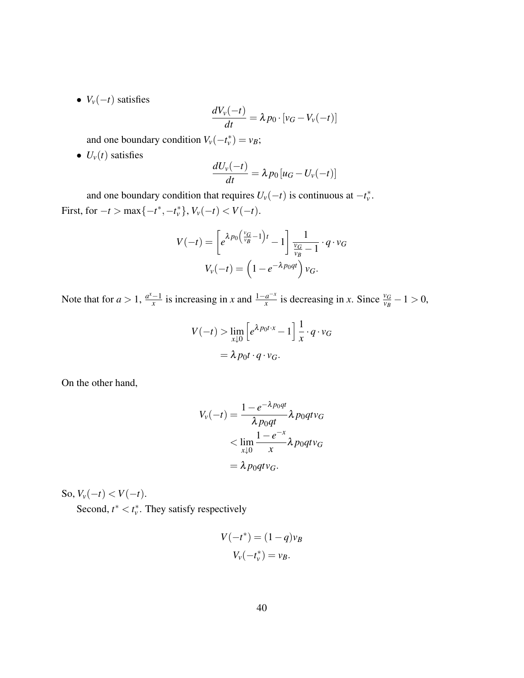•  $V_v(-t)$  satisfies

$$
\frac{dV_v(-t)}{dt} = \lambda p_0 \cdot [v_G - V_v(-t)]
$$

and one boundary condition  $V_v(-t_v^*) = v_B$ ;

•  $U_v(t)$  satisfies

$$
\frac{dU_v(-t)}{dt} = \lambda p_0 [u_G - U_v(-t)]
$$

and one boundary condition that requires  $U_v(-t)$  is continuous at  $-t_v^*$ . First, for  $-t > \max\{-t^*, -t_v^*\}, V_v(-t) < V(-t)$ .

$$
V(-t) = \left[e^{\lambda p_0 \left(\frac{v_G}{v_B} - 1\right)t} - 1\right] \frac{1}{\frac{v_G}{v_B} - 1} \cdot q \cdot v_G
$$

$$
V_v(-t) = \left(1 - e^{-\lambda p_0 qt}\right) v_G.
$$

Note that for  $a > 1$ ,  $\frac{a^x - 1}{x}$  $\frac{-1}{x}$  is increasing in *x* and  $\frac{1-a^{-x}}{x}$  $\frac{a^{-x}}{x}$  is decreasing in *x*. Since  $\frac{v_G}{v_B} - 1 > 0$ ,

$$
V(-t) > \lim_{x \downarrow 0} \left[ e^{\lambda p_0 t \cdot x} - 1 \right] \frac{1}{x} \cdot q \cdot v_G
$$

$$
= \lambda p_0 t \cdot q \cdot v_G.
$$

On the other hand,

$$
V_v(-t) = \frac{1 - e^{-\lambda p_0 qt}}{\lambda p_0 qt} \lambda p_0 qt v_G
$$
  

$$
< \lim_{x \downarrow 0} \frac{1 - e^{-x}}{x} \lambda p_0 qt v_G
$$
  

$$
= \lambda p_0 qt v_G.
$$

So,  $V_v(-t) < V(-t)$ .

Second,  $t^* < t_v^*$ . They satisfy respectively

$$
V(-t^*) = (1-q)v_B
$$
  

$$
V_v(-t_v^*) = v_B.
$$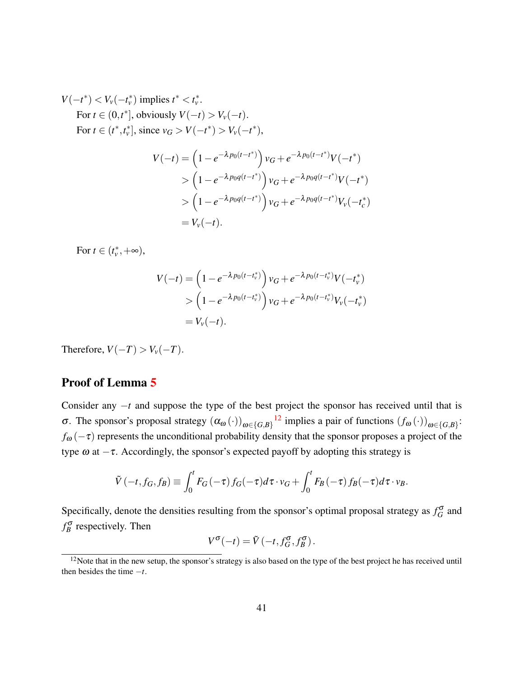$$
V(-t^*) < V_v(-t_v^*) \text{ implies } t^* < t_v^*.
$$
  
For  $t \in (0, t^*]$ , obviously  $V(-t) > V_v(-t)$ .  
For  $t \in (t^*, t_v^*]$ , since  $v_G > V(-t^*) > V_v(-t^*)$ ,  

$$
V(-t) = \left(1 - e^{-\lambda p_0(t - t^*)}\right) v_G + e^{-\lambda p_0(t - t^*)} V(-t^*)
$$

$$
\begin{aligned}\n &\times \left(1 - e^{-\lambda p_0 q(t - t^*)}\right) v_G + e^{-\lambda p_0 q(t - t^*)} V(-t^*) \\
&\times \left(1 - e^{-\lambda p_0 q(t - t^*)}\right) v_G + e^{-\lambda p_0 q(t - t^*)} V_v(-t_c^*) \\
&= V_v(-t).\n\end{aligned}
$$

For  $t \in (t_v^*, +\infty)$ ,

$$
V(-t) = \left(1 - e^{-\lambda p_0(t - t_v^*)}\right) v_G + e^{-\lambda p_0(t - t_v^*)} V(-t_v^*)
$$
  
> 
$$
\left(1 - e^{-\lambda p_0(t - t_v^*)}\right) v_G + e^{-\lambda p_0(t - t_v^*)} V_v(-t_v^*)
$$
  
=  $V_v(-t)$ .

Therefore,  $V(-T) > V_v(-T)$ .

### Proof of Lemma [5](#page-28-0)

Consider any −*t* and suppose the type of the best project the sponsor has received until that is  $\sigma$ . The sponsor's proposal strategy  $(α<sub>ω</sub>(·))<sub>ω∈{G,B}</sub>$ <sup>[12](#page-41-0)</sup> implies a pair of functions  $(f<sub>ω</sub>(·))<sub>ω∈{G,B}</sub>$ :  $f_{\omega}(-\tau)$  represents the unconditional probability density that the sponsor proposes a project of the type  $\omega$  at  $-\tau$ . Accordingly, the sponsor's expected payoff by adopting this strategy is

$$
\tilde{V}(-t, f_G, f_B) \equiv \int_0^t F_G(-\tau) f_G(-\tau) d\tau \cdot v_G + \int_0^t F_B(-\tau) f_B(-\tau) d\tau \cdot v_B.
$$

Specifically, denote the densities resulting from the sponsor's optimal proposal strategy as  $f_G^{\sigma}$  and  $f_B^{\sigma}$  respectively. Then

$$
V^{\sigma}(-t) = \tilde{V}(-t, f_G^{\sigma}, f_B^{\sigma}).
$$

<span id="page-41-0"></span><sup>&</sup>lt;sup>12</sup>Note that in the new setup, the sponsor's strategy is also based on the type of the best project he has received until then besides the time −*t*.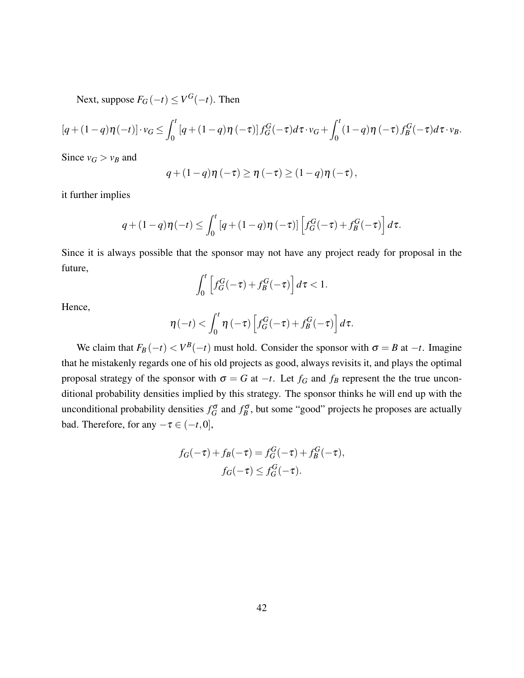Next, suppose  $F_G(-t) \le V^G(-t)$ . Then

$$
[q+(1-q)\eta(-t)]\cdot v_G \leq \int_0^t [q+(1-q)\eta(-\tau)]f_G^G(-\tau)d\tau\cdot v_G + \int_0^t (1-q)\eta(-\tau)f_B^G(-\tau)d\tau\cdot v_B.
$$

Since  $v_G > v_B$  and

$$
q+(1-q)\eta\left(-\tau\right)\geq\eta\left(-\tau\right)\geq\left(1-q\right)\eta\left(-\tau\right),\,
$$

it further implies

$$
q + (1-q)\eta(-t) \le \int_0^t \left[ q + (1-q)\eta(-\tau) \right] \left[ f_G^G(-\tau) + f_B^G(-\tau) \right] d\tau.
$$

Since it is always possible that the sponsor may not have any project ready for proposal in the future,

$$
\int_0^t \left[ f_G^G(-\tau) + f_B^G(-\tau) \right] d\tau < 1.
$$

Hence,

$$
\eta(-t) < \int_0^t \eta(-\tau) \left[ f_G^G(-\tau) + f_B^G(-\tau) \right] d\tau.
$$

We claim that  $F_B(-t) < V^B(-t)$  must hold. Consider the sponsor with  $\sigma = B$  at  $-t$ . Imagine that he mistakenly regards one of his old projects as good, always revisits it, and plays the optimal proposal strategy of the sponsor with  $\sigma = G$  at  $-t$ . Let  $f_G$  and  $f_B$  represent the the true unconditional probability densities implied by this strategy. The sponsor thinks he will end up with the unconditional probability densities  $f_G^{\sigma}$  and  $f_B^{\sigma}$ , but some "good" projects he proposes are actually bad. Therefore, for any  $-\tau \in (-t, 0]$ ,

$$
f_G(-\tau) + f_B(-\tau) = f_G^G(-\tau) + f_B^G(-\tau),
$$
  

$$
f_G(-\tau) \le f_G^G(-\tau).
$$